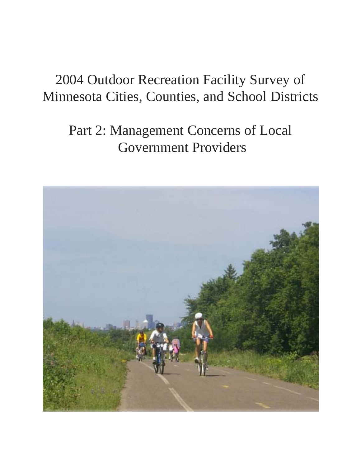# 2004 Outdoor Recreation Facility Survey of Minnesota Cities, Counties, and School Districts

# Part 2: Management Concerns of Local Government Providers

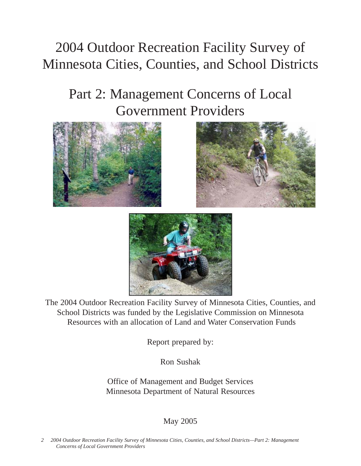# 2004 Outdoor Recreation Facility Survey of Minnesota Cities, Counties, and School Districts

# Part 2: Management Concerns of Local Government Providers







The 2004 Outdoor Recreation Facility Survey of Minnesota Cities, Counties, and School Districts was funded by the Legislative Commission on Minnesota Resources with an allocation of Land and Water Conservation Funds

Report prepared by:

Ron Sushak

Office of Management and Budget Services Minnesota Department of Natural Resources

# May 2005

*2 2004 Outdoor Recreation Facility Survey of Minnesota Cities, Counties, and School Districts—Part 2: Management Concerns of Local Government Providers*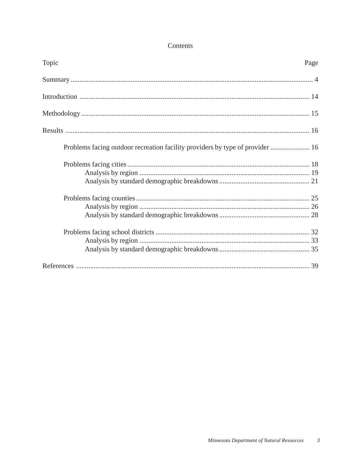# Contents

| Topic                                                                         | Page |
|-------------------------------------------------------------------------------|------|
|                                                                               |      |
|                                                                               |      |
|                                                                               |      |
|                                                                               |      |
| Problems facing outdoor recreation facility providers by type of provider  16 |      |
|                                                                               |      |
|                                                                               |      |
|                                                                               |      |
|                                                                               |      |
|                                                                               |      |
|                                                                               |      |
|                                                                               |      |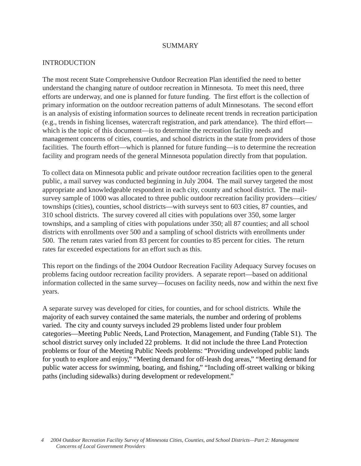#### SUMMARY

#### INTRODUCTION

The most recent State Comprehensive Outdoor Recreation Plan identified the need to better understand the changing nature of outdoor recreation in Minnesota. To meet this need, three efforts are underway, and one is planned for future funding. The first effort is the collection of primary information on the outdoor recreation patterns of adult Minnesotans. The second effort is an analysis of existing information sources to delineate recent trends in recreation participation (e.g., trends in fishing licenses, watercraft registration, and park attendance). The third effort which is the topic of this document—is to determine the recreation facility needs and management concerns of cities, counties, and school districts in the state from providers of those facilities. The fourth effort—which is planned for future funding—is to determine the recreation facility and program needs of the general Minnesota population directly from that population.

To collect data on Minnesota public and private outdoor recreation facilities open to the general public, a mail survey was conducted beginning in July 2004. The mail survey targeted the most appropriate and knowledgeable respondent in each city, county and school district. The mailsurvey sample of 1000 was allocated to three public outdoor recreation facility providers—cities/ townships (cities), counties, school districts—with surveys sent to 603 cities, 87 counties, and 310 school districts. The survey covered all cities with populations over 350, some larger townships, and a sampling of cities with populations under 350; all 87 counties; and all school districts with enrollments over 500 and a sampling of school districts with enrollments under 500. The return rates varied from 83 percent for counties to 85 percent for cities. The return rates far exceeded expectations for an effort such as this.

This report on the findings of the 2004 Outdoor Recreation Facility Adequacy Survey focuses on problems facing outdoor recreation facility providers. A separate report—based on additional information collected in the same survey—focuses on facility needs, now and within the next five years.

A separate survey was developed for cities, for counties, and for school districts. While the majority of each survey contained the same materials, the number and ordering of problems varied. The city and county surveys included 29 problems listed under four problem categories—Meeting Public Needs, Land Protection, Management, and Funding (Table S1). The school district survey only included 22 problems. It did not include the three Land Protection problems or four of the Meeting Public Needs problems: "Providing undeveloped public lands for youth to explore and enjoy," "Meeting demand for off-leash dog areas," "Meeting demand for public water access for swimming, boating, and fishing," "Including off-street walking or biking paths (including sidewalks) during development or redevelopment."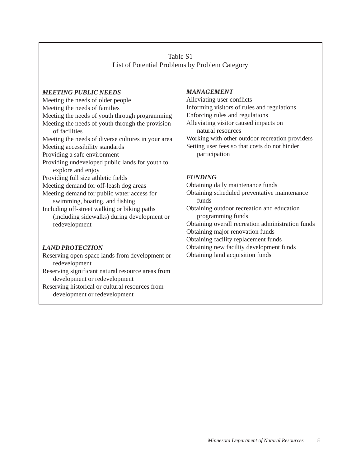## Table S1 List of Potential Problems by Problem Category

#### *MEETING PUBLIC NEEDS*

Meeting the needs of older people Meeting the needs of families Meeting the needs of youth through programming Meeting the needs of youth through the provision of facilities Meeting the needs of diverse cultures in your area Meeting accessibility standards Providing a safe environment Providing undeveloped public lands for youth to explore and enjoy Providing full size athletic fields Meeting demand for off-leash dog areas Meeting demand for public water access for swimming, boating, and fishing Including off-street walking or biking paths (including sidewalks) during development or redevelopment

#### *LAND PROTECTION*

Reserving open-space lands from development or redevelopment

Reserving significant natural resource areas from development or redevelopment

Reserving historical or cultural resources from development or redevelopment

#### *MANAGEMENT*

Alleviating user conflicts Informing visitors of rules and regulations Enforcing rules and regulations Alleviating visitor caused impacts on natural resources Working with other outdoor recreation providers Setting user fees so that costs do not hinder participation

#### *FUNDING*

Obtaining daily maintenance funds

Obtaining scheduled preventative maintenance funds

Obtaining outdoor recreation and education programming funds

Obtaining overall recreation administration funds

Obtaining major renovation funds

Obtaining facility replacement funds

Obtaining new facility development funds

Obtaining land acquisition funds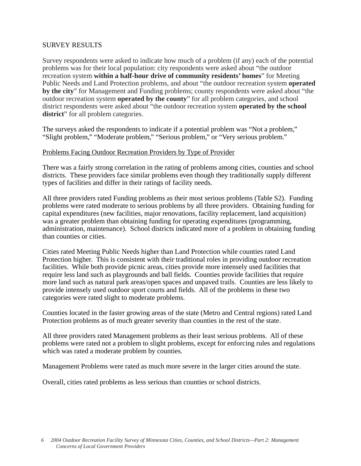## SURVEY RESULTS

Survey respondents were asked to indicate how much of a problem (if any) each of the potential problems was for their local population: city respondents were asked about "the outdoor recreation system **within a half-hour drive of community residents' homes**" for Meeting Public Needs and Land Protection problems, and about "the outdoor recreation system **operated by the city**" for Management and Funding problems; county respondents were asked about "the outdoor recreation system **operated by the county**" for all problem categories, and school district respondents were asked about "the outdoor recreation system **operated by the school district**" for all problem categories.

The surveys asked the respondents to indicate if a potential problem was "Not a problem," "Slight problem," "Moderate problem," "Serious problem," or "Very serious problem."

#### Problems Facing Outdoor Recreation Providers by Type of Provider

There was a fairly strong correlation in the rating of problems among cities, counties and school districts. These providers face similar problems even though they traditionally supply different types of facilities and differ in their ratings of facility needs.

All three providers rated Funding problems as their most serious problems (Table S2). Funding problems were rated moderate to serious problems by all three providers. Obtaining funding for capital expenditures (new facilities, major renovations, facility replacement, land acquisition) was a greater problem than obtaining funding for operating expenditures (programming, administration, maintenance). School districts indicated more of a problem in obtaining funding than counties or cities.

Cities rated Meeting Public Needs higher than Land Protection while counties rated Land Protection higher. This is consistent with their traditional roles in providing outdoor recreation facilities. While both provide picnic areas, cities provide more intensely used facilities that require less land such as playgrounds and ball fields. Counties provide facilities that require more land such as natural park areas/open spaces and unpaved trails. Counties are less likely to provide intensely used outdoor sport courts and fields. All of the problems in these two categories were rated slight to moderate problems.

Counties located in the faster growing areas of the state (Metro and Central regions) rated Land Protection problems as of much greater severity than counties in the rest of the state.

All three providers rated Management problems as their least serious problems. All of these problems were rated not a problem to slight problems, except for enforcing rules and regulations which was rated a moderate problem by counties.

Management Problems were rated as much more severe in the larger cities around the state.

Overall, cities rated problems as less serious than counties or school districts.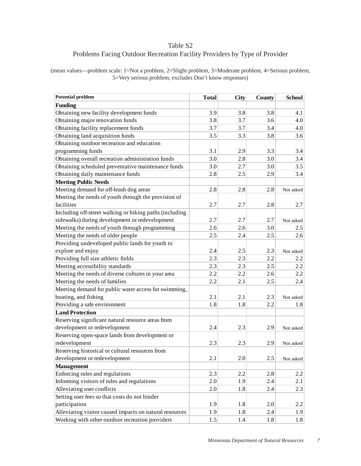## Table S2 Problems Facing Outdoor Recreation Facility Providers by Type of Provider

(mean values—problem scale: 1=Not a problem, 2=Slight problem, 3=Moderate problem, 4=Serious problem, 5=Very serious problem; excludes Don't know responses)

| <b>Potential problem</b>                                | <b>Total</b> | City | County | <b>School</b> |
|---------------------------------------------------------|--------------|------|--------|---------------|
| <b>Funding</b>                                          |              |      |        |               |
| Obtaining new facility development funds                | 3.9          | 3.8  | 3.8    | 4.1           |
| Obtaining major renovation funds                        | 3.8          | 3.7  | 3.6    | 4.0           |
| Obtaining facility replacement funds                    | 3.7          | 3.7  | 3.4    | 4.0           |
| Obtaining land acquisition funds                        | 3.5          | 3.3  | 3.8    | 3.6           |
| Obtaining outdoor recreation and education              |              |      |        |               |
| programming funds                                       | 3.1          | 2.9  | 3.3    | 3.4           |
| Obtaining overall recreation administration funds       | 3.0          | 2.8  | 3.0    | 3.4           |
| Obtaining scheduled preventative maintenance funds      | 3.0          | 2.7  | 3.0    | 3.5           |
| Obtaining daily maintenance funds                       | 2.8          | 2.5  | 2.9    | 3.4           |
| <b>Meeting Public Needs</b>                             |              |      |        |               |
| Meeting demand for off-leash dog areas                  | 2.8          | 2.8  | 2.8    | Not asked     |
| Meeting the needs of youth through the provision of     |              |      |        |               |
| facilities                                              | 2.7          | 2.7  | 2.8    | 2.7           |
| Including off-street walking or biking paths (including |              |      |        |               |
| sidewalks) during development or redevelopment          | 2.7          | 2.7  | 2.7    | Not asked     |
| Meeting the needs of youth through programming          | 2.6          | 2.6  | 3.0    | 2.5           |
| Meeting the needs of older people                       | 2.5          | 2.4  | 2.5    | 2.6           |
| Providing undeveloped public lands for youth to         |              |      |        |               |
| explore and enjoy                                       | 2.4          | 2.5  | 2.3    | Not asked     |
| Providing full size athletic fields                     | 2.3          | 2.3  | 2.2    | 2.2           |
| Meeting accessibility standards                         | 2.3          | 2.3  | 2.5    | 2.2           |
| Meeting the needs of diverse cultures in your area      | 2.2          | 2.2  | 2.6    | 2.2           |
| Meeting the needs of families                           | 2.2          | 2.1  | 2.5    | 2.4           |
| Meeting demand for public water access for swimming,    |              |      |        |               |
| boating, and fishing                                    | 2.1          | 2.1  | 2.3    | Not asked     |
| Providing a safe environment                            | 1.8          | 1.8  | 2.2    | 1.8           |
| <b>Land Protection</b>                                  |              |      |        |               |
| Reserving significant natural resource areas from       |              |      |        |               |
| development or redevelopment                            | 2.4          | 2.3  | 2.9    | Not asked     |
| Reserving open-space lands from development or          |              |      |        |               |
| redevelopment                                           | 2.3          | 2.3  | 2.9    | Not asked     |
| Reserving historical or cultural resources from         |              |      |        |               |
| development or redevelopment                            | 2.1          | 2.0  | 2.5    | Not asked     |
| <b>Management</b>                                       |              |      |        |               |
| Enforcing rules and regulations                         | 2.3          | 2.2  | 2.8    | 2.2           |
| Informing visitors of rules and regulations             | 2.0          | 1.9  | 2.4    | 2.1           |
| Alleviating user conflicts                              | 2.0          | 1.8  | 2.4    | 2.3           |
| Setting user fees so that costs do not hinder           |              |      |        |               |
| participation                                           | 1.9          | 1.8  | 2.0    | 2.2           |
| Alleviating visitor caused impacts on natural resources | 1.9          | 1.8  | 2.4    | 1.9           |
| Working with other outdoor recreation providers         | 1.5          | 1.4  | 1.8    | 1.8           |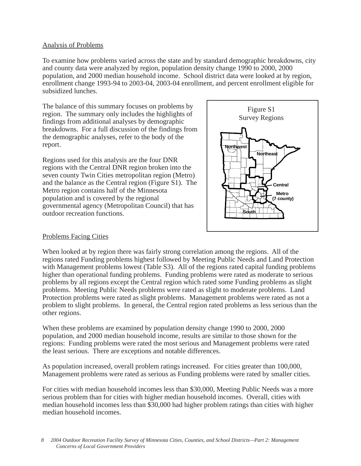### Analysis of Problems

To examine how problems varied across the state and by standard demographic breakdowns, city and county data were analyzed by region, population density change 1990 to 2000, 2000 population, and 2000 median household income. School district data were looked at by region, enrollment change 1993-94 to 2003-04, 2003-04 enrollment, and percent enrollment eligible for subsidized lunches.

The balance of this summary focuses on problems by region. The summary only includes the highlights of findings from additional analyses by demographic breakdowns. For a full discussion of the findings from the demographic analyses, refer to the body of the report.

Regions used for this analysis are the four DNR regions with the Central DNR region broken into the seven county Twin Cities metropolitan region (Metro) and the balance as the Central region (Figure S1). The Metro region contains half of the Minnesota population and is covered by the regional governmental agency (Metropolitan Council) that has outdoor recreation functions.



### Problems Facing Cities

When looked at by region there was fairly strong correlation among the regions. All of the regions rated Funding problems highest followed by Meeting Public Needs and Land Protection with Management problems lowest (Table S3). All of the regions rated capital funding problems higher than operational funding problems. Funding problems were rated as moderate to serious problems by all regions except the Central region which rated some Funding problems as slight problems. Meeting Public Needs problems were rated as slight to moderate problems. Land Protection problems were rated as slight problems. Management problems were rated as not a problem to slight problems. In general, the Central region rated problems as less serious than the other regions.

When these problems are examined by population density change 1990 to 2000, 2000 population, and 2000 median household income, results are similar to those shown for the regions: Funding problems were rated the most serious and Management problems were rated the least serious. There are exceptions and notable differences.

As population increased, overall problem ratings increased. For cities greater than 100,000, Management problems were rated as serious as Funding problems were rated by smaller cities.

For cities with median household incomes less than \$30,000, Meeting Public Needs was a more serious problem than for cities with higher median household incomes. Overall, cities with median household incomes less than \$30,000 had higher problem ratings than cities with higher median household incomes.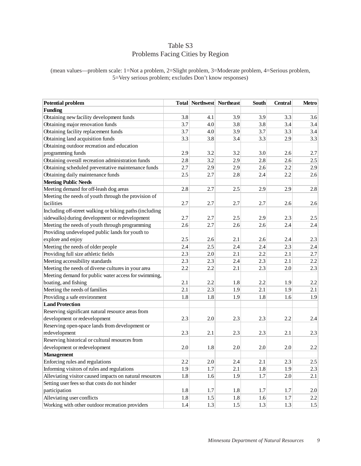## Table S3 Problems Facing Cities by Region

(mean values—problem scale: 1=Not a problem, 2=Slight problem, 3=Moderate problem, 4=Serious problem, 5=Very serious problem; excludes Don't know responses)

| <b>Potential problem</b>                                |     | <b>Total Northwest Northeast</b> |         | South   | <b>Central</b> | Metro |
|---------------------------------------------------------|-----|----------------------------------|---------|---------|----------------|-------|
| <b>Funding</b>                                          |     |                                  |         |         |                |       |
| Obtaining new facility development funds                | 3.8 | 4.1                              | 3.9     | 3.9     | 3.3            | 3.6   |
| Obtaining major renovation funds                        | 3.7 | 4.0                              | 3.8     | 3.8     | 3.4            | 3.4   |
| Obtaining facility replacement funds                    | 3.7 | 4.0                              | 3.9     | 3.7     | 3.3            | 3.4   |
| Obtaining land acquisition funds                        | 3.3 | 3.8                              | 3.4     | 3.3     | 2.9            | 3.3   |
| Obtaining outdoor recreation and education              |     |                                  |         |         |                |       |
| programming funds                                       | 2.9 | 3.2                              | 3.2     | 3.0     | 2.6            | 2.7   |
| Obtaining overall recreation administration funds       | 2.8 | 3.2                              | 2.9     | 2.8     | 2.6            | 2.5   |
| Obtaining scheduled preventative maintenance funds      | 2.7 | 2.9                              | 2.9     | 2.6     | 2.2            | 2.9   |
| Obtaining daily maintenance funds                       | 2.5 | 2.7                              | 2.8     | 2.4     | 2.2            | 2.6   |
| <b>Meeting Public Needs</b>                             |     |                                  |         |         |                |       |
| Meeting demand for off-leash dog areas                  | 2.8 | 2.7                              | 2.5     | 2.9     | 2.9            | 2.8   |
| Meeting the needs of youth through the provision of     |     |                                  |         |         |                |       |
| facilities                                              | 2.7 | 2.7                              | 2.7     | 2.7     | 2.6            | 2.6   |
| Including off-street walking or biking paths (including |     |                                  |         |         |                |       |
| sidewalks) during development or redevelopment          | 2.7 | 2.7                              | 2.5     | 2.9     | 2.3            | 2.5   |
| Meeting the needs of youth through programming          | 2.6 | 2.7                              | 2.6     | 2.6     | 2.4            | 2.4   |
| Providing undeveloped public lands for youth to         |     |                                  |         |         |                |       |
| explore and enjoy                                       | 2.5 | 2.6                              | 2.1     | 2.6     | 2.4            | 2.3   |
| Meeting the needs of older people                       | 2.4 | 2.5                              | 2.4     | 2.4     | 2.3            | 2.4   |
| Providing full size athletic fields                     | 2.3 | 2.0                              | 2.1     | 2.2     | 2.1            | 2.7   |
| Meeting accessibility standards                         | 2.3 | 2.3                              | 2.4     | 2.3     | 2.1            | 2.2   |
| Meeting the needs of diverse cultures in your area      | 2.2 | 2.2                              | 2.1     | 2.3     | 2.0            | 2.3   |
| Meeting demand for public water access for swimming,    |     |                                  |         |         |                |       |
| boating, and fishing                                    | 2.1 | 2.2                              | 1.8     | 2.2     | 1.9            | 2.2   |
| Meeting the needs of families                           | 2.1 | 2.3                              | 1.9     | 2.1     | 1.9            | 2.1   |
| Providing a safe environment                            | 1.8 | 1.8                              | 1.9     | 1.8     | 1.6            | 1.9   |
| <b>Land Protection</b>                                  |     |                                  |         |         |                |       |
| Reserving significant natural resource areas from       |     |                                  |         |         |                |       |
| development or redevelopment                            | 2.3 | 2.0                              | 2.3     | 2.3     | 2.2            | 2.4   |
| Reserving open-space lands from development or          |     |                                  |         |         |                |       |
| redevelopment                                           | 2.3 | 2.1                              | 2.3     | 2.3     | 2.1            | 2.3   |
| Reserving historical or cultural resources from         |     |                                  |         |         |                |       |
| development or redevelopment                            | 2.0 | 1.8                              | 2.0     | 2.0     | 2.0            | 2.2   |
| <b>Management</b>                                       |     |                                  |         |         |                |       |
| Enforcing rules and regulations                         | 2.2 | $2.0\,$                          | $2.4\,$ | $2.1\,$ | 2.3            | 2.5   |
| Informing visitors of rules and regulations             | 1.9 | 1.7                              | 2.1     | 1.8     | 1.9            | 2.3   |
| Alleviating visitor caused impacts on natural resources | 1.8 | 1.6                              | 1.9     | 1.7     | 2.0            | 2.1   |
| Setting user fees so that costs do not hinder           |     |                                  |         |         |                |       |
| participation                                           | 1.8 | 1.7                              | 1.8     | 1.7     | 1.7            | 2.0   |
| Alleviating user conflicts                              | 1.8 | 1.5                              | 1.8     | 1.6     | 1.7            | 2.2   |
| Working with other outdoor recreation providers         | 1.4 | 1.3                              | 1.5     | 1.3     | 1.3            | 1.5   |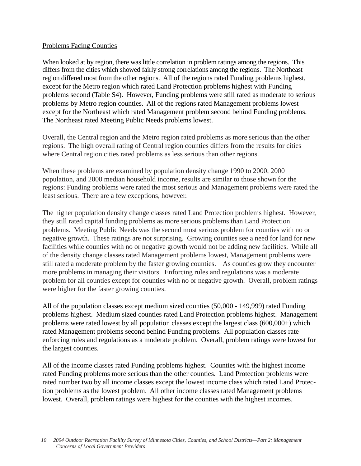### Problems Facing Counties

When looked at by region, there was little correlation in problem ratings among the regions. This differs from the cities which showed fairly strong correlations among the regions. The Northeast region differed most from the other regions. All of the regions rated Funding problems highest, except for the Metro region which rated Land Protection problems highest with Funding problems second (Table S4). However, Funding problems were still rated as moderate to serious problems by Metro region counties. All of the regions rated Management problems lowest except for the Northeast which rated Management problem second behind Funding problems. The Northeast rated Meeting Public Needs problems lowest.

Overall, the Central region and the Metro region rated problems as more serious than the other regions. The high overall rating of Central region counties differs from the results for cities where Central region cities rated problems as less serious than other regions.

When these problems are examined by population density change 1990 to 2000, 2000 population, and 2000 median household income, results are similar to those shown for the regions: Funding problems were rated the most serious and Management problems were rated the least serious. There are a few exceptions, however.

The higher population density change classes rated Land Protection problems highest. However, they still rated capital funding problems as more serious problems than Land Protection problems. Meeting Public Needs was the second most serious problem for counties with no or negative growth. These ratings are not surprising. Growing counties see a need for land for new facilities while counties with no or negative growth would not be adding new facilities. While all of the density change classes rated Management problems lowest, Management problems were still rated a moderate problem by the faster growing counties. As counties grow they encounter more problems in managing their visitors. Enforcing rules and regulations was a moderate problem for all counties except for counties with no or negative growth. Overall, problem ratings were higher for the faster growing counties.

All of the population classes except medium sized counties (50,000 - 149,999) rated Funding problems highest. Medium sized counties rated Land Protection problems highest. Management problems were rated lowest by all population classes except the largest class (600,000+) which rated Management problems second behind Funding problems. All population classes rate enforcing rules and regulations as a moderate problem. Overall, problem ratings were lowest for the largest counties.

All of the income classes rated Funding problems highest. Counties with the highest income rated Funding problems more serious than the other counties. Land Protection problems were rated number two by all income classes except the lowest income class which rated Land Protection problems as the lowest problem. All other income classes rated Management problems lowest. Overall, problem ratings were highest for the counties with the highest incomes.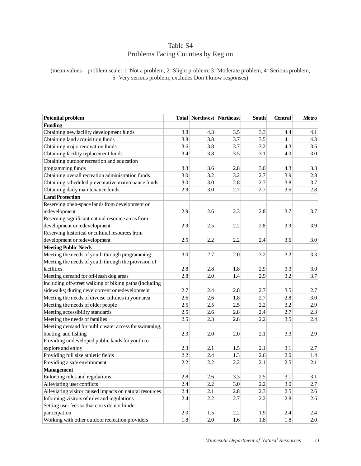## Table S4 Problems Facing Counties by Region

(mean values—problem scale: 1=Not a problem, 2=Slight problem, 3=Moderate problem, 4=Serious problem, 5=Very serious problem; excludes Don't know responses)

| <b>Potential problem</b>                                |         | Total Northwest Northeast |     | South | <b>Central</b> | Metro   |
|---------------------------------------------------------|---------|---------------------------|-----|-------|----------------|---------|
| <b>Funding</b>                                          |         |                           |     |       |                |         |
| Obtaining new facility development funds                | 3.8     | 4.3                       | 3.5 | 3.3   | 4.4            | 4.1     |
| Obtaining land acquisition funds                        | 3.8     | 3.8                       | 3.7 | 3.5   | 4.1            | 4.3     |
| Obtaining major renovation funds                        | 3.6     | 3.8                       | 3.7 | 3.2   | 4.3            | 3.6     |
| Obtaining facility replacement funds                    | 3.4     | 3.8                       | 3.5 | 3.1   | 4.0            | 3.0     |
| Obtaining outdoor recreation and education              |         |                           |     |       |                |         |
| programming funds                                       | 3.3     | 3.6                       | 2.8 | 3.0   | 4.3            | 3.3     |
| Obtaining overall recreation administration funds       | 3.0     | 3.2                       | 3.2 | 2.7   | 3.9            | 2.8     |
| Obtaining scheduled preventative maintenance funds      | 3.0     | 3.0                       | 2.8 | 2.7   | 3.8            | 3.7     |
| Obtaining daily maintenance funds                       | 2.9     | 3.0                       | 2.7 | 2.7   | 3.6            | 2.8     |
| <b>Land Protection</b>                                  |         |                           |     |       |                |         |
| Reserving open-space lands from development or          |         |                           |     |       |                |         |
| redevelopment                                           | 2.9     | 2.6                       | 2.3 | 2.8   | 3.7            | 3.7     |
| Reserving significant natural resource areas from       |         |                           |     |       |                |         |
| development or redevelopment                            | 2.9     | 2.5                       | 2.2 | 2.8   | 3.9            | 3.9     |
| Reserving historical or cultural resources from         |         |                           |     |       |                |         |
| development or redevelopment                            | 2.5     | 2.2                       | 2.2 | 2.4   | 3.6            | 3.0     |
| <b>Meeting Public Needs</b>                             |         |                           |     |       |                |         |
| Meeting the needs of youth through programming          | 3.0     | 2.7                       | 2.0 | 3.2   | 3.2            | 3.3     |
| Meeting the needs of youth through the provision of     |         |                           |     |       |                |         |
| facilities                                              | 2.8     | 2.8                       | 1.8 | 2.9   | 3.3            | 3.0     |
| Meeting demand for off-leash dog areas                  | 2.8     | 2.0                       | 1.4 | 2.9   | 3.2            | 3.7     |
| Including off-street walking or biking paths (including |         |                           |     |       |                |         |
| sidewalks) during development or redevelopment          | 2.7     | 2.4                       | 2.8 | 2.7   | 3.5            | 2.7     |
| Meeting the needs of diverse cultures in your area      | 2.6     | 2.6                       | 1.8 | 2.7   | 2.8            | 3.0     |
| Meeting the needs of older people                       | 2.5     | 2.5                       | 2.5 | 2.2   | 3.2            | 2.9     |
| Meeting accessibility standards                         | 2.5     | 2.6                       | 2.8 | 2.4   | 2.7            | 2.3     |
| Meeting the needs of families                           | 2.5     | 2.3                       | 2.8 | 2.2   | 3.5            | 2.4     |
| Meeting demand for public water access for swimming,    |         |                           |     |       |                |         |
| boating, and fishing                                    | 2.3     | 2.0                       | 2.0 | 2.1   | 3.3            | 2.9     |
| Providing undeveloped public lands for youth to         |         |                           |     |       |                |         |
| explore and enjoy                                       | 2.3     | 2.1                       | 1.5 | 2.1   | 3.1            | 2.7     |
| Providing full size athletic fields                     | 2.2     | 2.4                       | 1.3 | 2.6   | 2.0            | 1.4     |
| Providing a safe environment                            | 2.2     | 2.2                       | 2.2 | 2.1   | 2.5            | 2.1     |
| <b>Management</b>                                       |         |                           |     |       |                |         |
| Enforcing rules and regulations                         | $2.8$   | 2.6                       | 3.3 | 2.5   | 3.1            | 3.1     |
| Alleviating user conflicts                              | 2.4     | 2.2                       | 3.0 | 2.2   | 3.0            | 2.7     |
| Alleviating visitor caused impacts on natural resources | 2.4     | 2.1                       | 2.8 | 2.3   | 2.5            | 2.6     |
| Informing visitors of rules and regulations             | 2.4     | 2.2                       | 2.7 | 2.2   | 2.8            | 2.6     |
| Setting user fees so that costs do not hinder           |         |                           |     |       |                |         |
| participation                                           | $2.0\,$ | $1.5\,$                   | 2.2 | 1.9   | 2.4            | $2.4\,$ |
| Working with other outdoor recreation providers         | 1.8     | 2.0                       | 1.6 | 1.8   | 1.8            | 2.0     |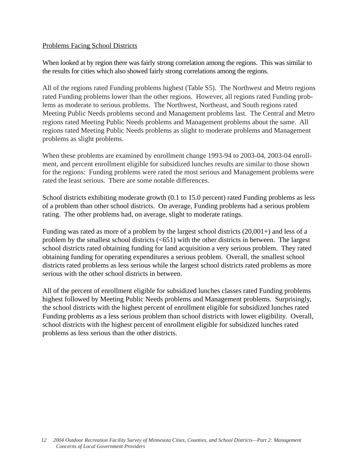## Problems Facing School Districts

When looked at by region there was fairly strong correlation among the regions. This was similar to the results for cities which also showed fairly strong correlations among the regions.

All of the regions rated Funding problems highest (Table S5). The Northwest and Metro regions rated Funding problems lower than the other regions. However, all regions rated Funding problems as moderate to serious problems. The Northwest, Northeast, and South regions rated Meeting Public Needs problems second and Management problems last. The Central and Metro regions rated Meeting Public Needs problems and Management problems about the same. All regions rated Meeting Public Needs problems as slight to moderate problems and Management problems as slight problems.

When these problems are examined by enrollment change 1993-94 to 2003-04, 2003-04 enrollment, and percent enrollment eligible for subsidized lunches results are similar to those shown for the regions: Funding problems were rated the most serious and Management problems were rated the least serious. There are some notable differences.

School districts exhibiting moderate growth (0.1 to 15.0 percent) rated Funding problems as less of a problem than other school districts. On average, Funding problems had a serious problem rating. The other problems had, on average, slight to moderate ratings.

Funding was rated as more of a problem by the largest school districts (20,001+) and less of a problem by the smallest school districts  $( $651$ )$  with the other districts in between. The largest school districts rated obtaining funding for land acquisition a very serious problem. They rated obtaining funding for operating expenditures a serious problem. Overall, the smallest school districts rated problems as less serious while the largest school districts rated problems as more serious with the other school districts in between.

All of the percent of enrollment eligible for subsidized lunches classes rated Funding problems highest followed by Meeting Public Needs problems and Management problems. Surprisingly, the school districts with the highest percent of enrollment eligible for subsidized lunches rated Funding problems as a less serious problem than school districts with lower eligibility. Overall, school districts with the highest percent of enrollment eligible for subsidized lunches rated problems as less serious than the other districts.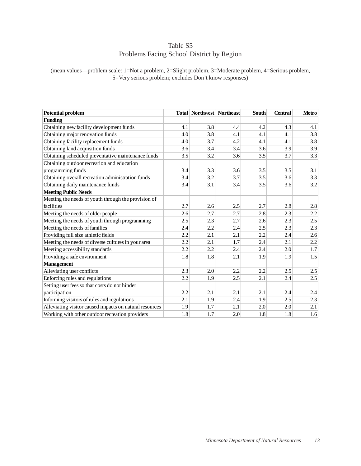## Table S5 Problems Facing School District by Region

(mean values—problem scale: 1=Not a problem, 2=Slight problem, 3=Moderate problem, 4=Serious problem, 5=Very serious problem; excludes Don't know responses)

| <b>Potential problem</b>                                |     | <b>Total Northwest Northeast</b> |     | <b>South</b> | <b>Central</b> | <b>Metro</b> |
|---------------------------------------------------------|-----|----------------------------------|-----|--------------|----------------|--------------|
| <b>Funding</b>                                          |     |                                  |     |              |                |              |
| Obtaining new facility development funds                | 4.1 | 3.8                              | 4.4 | 4.2          | 4.3            | 4.1          |
| Obtaining major renovation funds                        | 4.0 | 3.8                              | 4.1 | 4.1          | 4.1            | 3.8          |
| Obtaining facility replacement funds                    | 4.0 | 3.7                              | 4.2 | 4.1          | 4.1            | 3.8          |
| Obtaining land acquisition funds                        | 3.6 | 3.4                              | 3.4 | 3.6          | 3.9            | 3.9          |
| Obtaining scheduled preventative maintenance funds      | 3.5 | 3.2                              | 3.6 | 3.5          | 3.7            | 3.3          |
| Obtaining outdoor recreation and education              |     |                                  |     |              |                |              |
| programming funds                                       | 3.4 | 3.3                              | 3.6 | 3.5          | 3.5            | 3.1          |
| Obtaining overall recreation administration funds       | 3.4 | 3.2                              | 3.7 | 3.5          | 3.6            | 3.3          |
| Obtaining daily maintenance funds                       | 3.4 | 3.1                              | 3.4 | 3.5          | 3.6            | 3.2          |
| <b>Meeting Public Needs</b>                             |     |                                  |     |              |                |              |
| Meeting the needs of youth through the provision of     |     |                                  |     |              |                |              |
| facilities                                              | 2.7 | 2.6                              | 2.5 | 2.7          | 2.8            | 2.8          |
| Meeting the needs of older people                       | 2.6 | 2.7                              | 2.7 | 2.8          | 2.3            | 2.2          |
| Meeting the needs of youth through programming          | 2.5 | 2.3                              | 2.7 | 2.6          | 2.3            | 2.5          |
| Meeting the needs of families                           | 2.4 | 2.2                              | 2.4 | 2.5          | 2.3            | 2.3          |
| Providing full size athletic fields                     | 2.2 | 2.1                              | 2.1 | 2.2          | 2.4            | 2.6          |
| Meeting the needs of diverse cultures in your area      | 2.2 | 2.1                              | 1.7 | 2.4          | 2.1            | 2.2          |
| Meeting accessibility standards                         | 2.2 | 2.2                              | 2.4 | 2.4          | 2.0            | 1.7          |
| Providing a safe environment                            | 1.8 | 1.8                              | 2.1 | 1.9          | 1.9            | 1.5          |
| <b>Management</b>                                       |     |                                  |     |              |                |              |
| Alleviating user conflicts                              | 2.3 | 2.0                              | 2.2 | 2.2          | 2.5            | 2.5          |
| Enforcing rules and regulations                         | 2.2 | 1.9                              | 2.5 | 2.1          | 2.4            | 2.5          |
| Setting user fees so that costs do not hinder           |     |                                  |     |              |                |              |
| participation                                           | 2.2 | 2.1                              | 2.1 | 2.1          | 2.4            | 2.4          |
| Informing visitors of rules and regulations             | 2.1 | 1.9                              | 2.4 | 1.9          | 2.5            | 2.3          |
| Alleviating visitor caused impacts on natural resources | 1.9 | 1.7                              | 2.1 | 2.0          | 2.0            | 2.1          |
| Working with other outdoor recreation providers         | 1.8 | 1.7                              | 2.0 | 1.8          | 1.8            | 1.6          |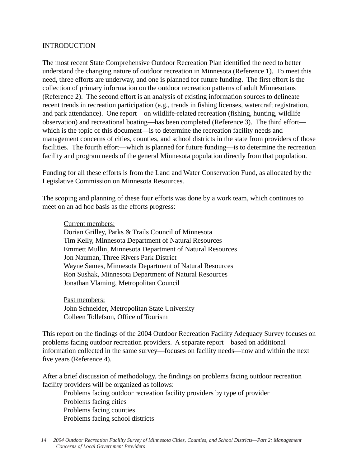#### INTRODUCTION

The most recent State Comprehensive Outdoor Recreation Plan identified the need to better understand the changing nature of outdoor recreation in Minnesota (Reference 1). To meet this need, three efforts are underway, and one is planned for future funding. The first effort is the collection of primary information on the outdoor recreation patterns of adult Minnesotans (Reference 2). The second effort is an analysis of existing information sources to delineate recent trends in recreation participation (e.g., trends in fishing licenses, watercraft registration, and park attendance). One report—on wildlife-related recreation (fishing, hunting, wildlife observation) and recreational boating—has been completed (Reference 3). The third effort which is the topic of this document—is to determine the recreation facility needs and management concerns of cities, counties, and school districts in the state from providers of those facilities. The fourth effort—which is planned for future funding—is to determine the recreation facility and program needs of the general Minnesota population directly from that population.

Funding for all these efforts is from the Land and Water Conservation Fund, as allocated by the Legislative Commission on Minnesota Resources.

The scoping and planning of these four efforts was done by a work team, which continues to meet on an ad hoc basis as the efforts progress:

Current members:

Dorian Grilley, Parks & Trails Council of Minnesota Tim Kelly, Minnesota Department of Natural Resources Emmett Mullin, Minnesota Department of Natural Resources Jon Nauman, Three Rivers Park District Wayne Sames, Minnesota Department of Natural Resources Ron Sushak, Minnesota Department of Natural Resources Jonathan Vlaming, Metropolitan Council

Past members: John Schneider, Metropolitan State University Colleen Tollefson, Office of Tourism

This report on the findings of the 2004 Outdoor Recreation Facility Adequacy Survey focuses on problems facing outdoor recreation providers. A separate report—based on additional information collected in the same survey—focuses on facility needs—now and within the next five years (Reference 4).

After a brief discussion of methodology, the findings on problems facing outdoor recreation facility providers will be organized as follows:

Problems facing outdoor recreation facility providers by type of provider Problems facing cities Problems facing counties Problems facing school districts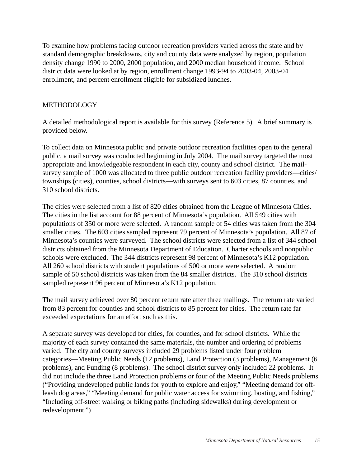To examine how problems facing outdoor recreation providers varied across the state and by standard demographic breakdowns, city and county data were analyzed by region, population density change 1990 to 2000, 2000 population, and 2000 median household income. School district data were looked at by region, enrollment change 1993-94 to 2003-04, 2003-04 enrollment, and percent enrollment eligible for subsidized lunches.

## METHODOLOGY

A detailed methodological report is available for this survey (Reference 5). A brief summary is provided below.

To collect data on Minnesota public and private outdoor recreation facilities open to the general public, a mail survey was conducted beginning in July 2004. The mail survey targeted the most appropriate and knowledgeable respondent in each city, county and school district. The mailsurvey sample of 1000 was allocated to three public outdoor recreation facility providers—cities/ townships (cities), counties, school districts—with surveys sent to 603 cities, 87 counties, and 310 school districts.

The cities were selected from a list of 820 cities obtained from the League of Minnesota Cities. The cities in the list account for 88 percent of Minnesota's population. All 549 cities with populations of 350 or more were selected. A random sample of 54 cities was taken from the 304 smaller cities. The 603 cities sampled represent 79 percent of Minnesota's population. All 87 of Minnesota's counties were surveyed. The school districts were selected from a list of 344 school districts obtained from the Minnesota Department of Education. Charter schools and nonpublic schools were excluded. The 344 districts represent 98 percent of Minnesota's K12 population. All 260 school districts with student populations of 500 or more were selected. A random sample of 50 school districts was taken from the 84 smaller districts. The 310 school districts sampled represent 96 percent of Minnesota's K12 population.

The mail survey achieved over 80 percent return rate after three mailings. The return rate varied from 83 percent for counties and school districts to 85 percent for cities. The return rate far exceeded expectations for an effort such as this.

A separate survey was developed for cities, for counties, and for school districts. While the majority of each survey contained the same materials, the number and ordering of problems varied. The city and county surveys included 29 problems listed under four problem categories—Meeting Public Needs (12 problems), Land Protection (3 problems), Management (6 problems), and Funding (8 problems). The school district survey only included 22 problems. It did not include the three Land Protection problems or four of the Meeting Public Needs problems ("Providing undeveloped public lands for youth to explore and enjoy," "Meeting demand for offleash dog areas," "Meeting demand for public water access for swimming, boating, and fishing," "Including off-street walking or biking paths (including sidewalks) during development or redevelopment.")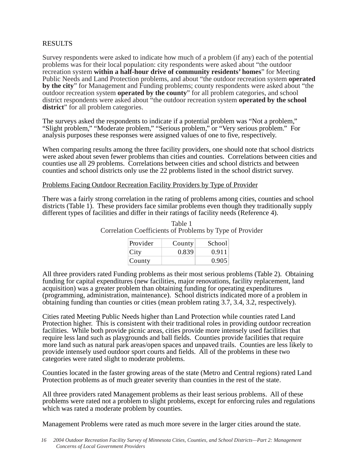## RESULTS

Survey respondents were asked to indicate how much of a problem (if any) each of the potential problems was for their local population: city respondents were asked about "the outdoor recreation system **within a half-hour drive of community residents' homes**" for Meeting Public Needs and Land Protection problems, and about "the outdoor recreation system **operated by the city**" for Management and Funding problems; county respondents were asked about "the outdoor recreation system **operated by the county**" for all problem categories, and school district respondents were asked about "the outdoor recreation system **operated by the school district**" for all problem categories.

The surveys asked the respondents to indicate if a potential problem was "Not a problem," "Slight problem," "Moderate problem," "Serious problem," or "Very serious problem." For analysis purposes these responses were assigned values of one to five, respectively.

When comparing results among the three facility providers, one should note that school districts were asked about seven fewer problems than cities and counties. Correlations between cities and counties use all 29 problems. Correlations between cities and school districts and between counties and school districts only use the 22 problems listed in the school district survey.

#### Problems Facing Outdoor Recreation Facility Providers by Type of Provider

There was a fairly strong correlation in the rating of problems among cities, counties and school districts (Table 1). These providers face similar problems even though they traditionally supply different types of facilities and differ in their ratings of facility needs (Reference 4).

| Provider | County | School |
|----------|--------|--------|
| City     | 0.839  | 0.911  |
| County   |        | 0.905  |

Table 1 Correlation Coefficients of Problems by Type of Provider

All three providers rated Funding problems as their most serious problems (Table 2). Obtaining funding for capital expenditures (new facilities, major renovations, facility replacement, land acquisition) was a greater problem than obtaining funding for operating expenditures (programming, administration, maintenance). School districts indicated more of a problem in obtaining funding than counties or cities (mean problem rating 3.7, 3.4, 3.2, respectively).

Cities rated Meeting Public Needs higher than Land Protection while counties rated Land Protection higher. This is consistent with their traditional roles in providing outdoor recreation facilities. While both provide picnic areas, cities provide more intensely used facilities that require less land such as playgrounds and ball fields. Counties provide facilities that require more land such as natural park areas/open spaces and unpaved trails. Counties are less likely to provide intensely used outdoor sport courts and fields. All of the problems in these two categories were rated slight to moderate problems.

Counties located in the faster growing areas of the state (Metro and Central regions) rated Land Protection problems as of much greater severity than counties in the rest of the state.

All three providers rated Management problems as their least serious problems. All of these problems were rated not a problem to slight problems, except for enforcing rules and regulations which was rated a moderate problem by counties.

Management Problems were rated as much more severe in the larger cities around the state.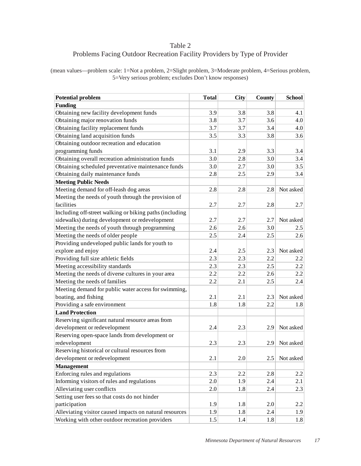## Table 2 Problems Facing Outdoor Recreation Facility Providers by Type of Provider

(mean values—problem scale: 1=Not a problem, 2=Slight problem, 3=Moderate problem, 4=Serious problem, 5=Very serious problem; excludes Don't know responses)

| <b>Potential problem</b>                                | <b>Total</b> | City | County | <b>School</b> |
|---------------------------------------------------------|--------------|------|--------|---------------|
| <b>Funding</b>                                          |              |      |        |               |
| Obtaining new facility development funds                | 3.9          | 3.8  | 3.8    | 4.1           |
| Obtaining major renovation funds                        | 3.8          | 3.7  | 3.6    | 4.0           |
| Obtaining facility replacement funds                    | 3.7          | 3.7  | 3.4    | 4.0           |
| Obtaining land acquisition funds                        | 3.5          | 3.3  | 3.8    | 3.6           |
| Obtaining outdoor recreation and education              |              |      |        |               |
| programming funds                                       | 3.1          | 2.9  | 3.3    | 3.4           |
| Obtaining overall recreation administration funds       | 3.0          | 2.8  | 3.0    | 3.4           |
| Obtaining scheduled preventative maintenance funds      | 3.0          | 2.7  | 3.0    | 3.5           |
| Obtaining daily maintenance funds                       | 2.8          | 2.5  | 2.9    | 3.4           |
| <b>Meeting Public Needs</b>                             |              |      |        |               |
| Meeting demand for off-leash dog areas                  | 2.8          | 2.8  | 2.8    | Not asked     |
| Meeting the needs of youth through the provision of     |              |      |        |               |
| facilities                                              | 2.7          | 2.7  | 2.8    | 2.7           |
| Including off-street walking or biking paths (including |              |      |        |               |
| sidewalks) during development or redevelopment          | 2.7          | 2.7  | 2.7    | Not asked     |
| Meeting the needs of youth through programming          | 2.6          | 2.6  | 3.0    | 2.5           |
| Meeting the needs of older people                       | 2.5          | 2.4  | 2.5    | 2.6           |
| Providing undeveloped public lands for youth to         |              |      |        |               |
| explore and enjoy                                       | 2.4          | 2.5  | 2.3    | Not asked     |
| Providing full size athletic fields                     | 2.3          | 2.3  | 2.2    | 2.2           |
| Meeting accessibility standards                         | 2.3          | 2.3  | 2.5    | 2.2           |
| Meeting the needs of diverse cultures in your area      | 2.2          | 2.2  | 2.6    | 2.2           |
| Meeting the needs of families                           | 2.2          | 2.1  | 2.5    | 2.4           |
| Meeting demand for public water access for swimming,    |              |      |        |               |
| boating, and fishing                                    | 2.1          | 2.1  | 2.3    | Not asked     |
| Providing a safe environment                            | 1.8          | 1.8  | 2.2    | 1.8           |
| <b>Land Protection</b>                                  |              |      |        |               |
| Reserving significant natural resource areas from       |              |      |        |               |
| development or redevelopment                            | 2.4          | 2.3  | 2.9    | Not asked     |
| Reserving open-space lands from development or          |              |      |        |               |
| redevelopment                                           | 2.3          | 2.3  | 2.9    | Not asked     |
| Reserving historical or cultural resources from         |              |      |        |               |
| development or redevelopment                            | 2.1          | 2.0  | 2.5    | Not asked     |
| <b>Management</b>                                       |              |      |        |               |
| Enforcing rules and regulations                         | 2.3          | 2.2  | 2.8    | 2.2           |
| Informing visitors of rules and regulations             | 2.0          | 1.9  | 2.4    | 2.1           |
| Alleviating user conflicts                              | 2.0          | 1.8  | 2.4    | 2.3           |
| Setting user fees so that costs do not hinder           |              |      |        |               |
| participation                                           | 1.9          | 1.8  | 2.0    | 2.2           |
| Alleviating visitor caused impacts on natural resources | 1.9          | 1.8  | 2.4    | 1.9           |
| Working with other outdoor recreation providers         | 1.5          | 1.4  | 1.8    | 1.8           |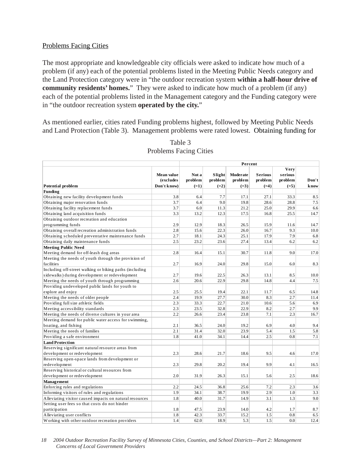### Problems Facing Cities

The most appropriate and knowledgeable city officials were asked to indicate how much of a problem (if any) each of the potential problems listed in the Meeting Public Needs category and the Land Protection category were in "the outdoor recreation system **within a half-hour drive of community residents' homes.**" They were asked to indicate how much of a problem (if any) each of the potential problems listed in the Management category and the Funding category were in "the outdoor recreation system **operated by the city.**"

As mentioned earlier, cities rated Funding problems highest, followed by Meeting Public Needs and Land Protection (Table 3). Management problems were rated lowest. Obtaining funding for

|                                                         |                         |                  |                   | Percent             |                           |                            |              |
|---------------------------------------------------------|-------------------------|------------------|-------------------|---------------------|---------------------------|----------------------------|--------------|
|                                                         | Mean value<br>(excludes | Not a<br>problem | Slight<br>problem | Moderate<br>problem | <b>Serious</b><br>problem | Very<br>serious<br>problem | Don't        |
| <b>Potential problem</b>                                | Don't know)             | $(=1)$           | $(=2)$            | $(=3)$              | $(=4)$                    | $(=5)$                     | <b>k</b> now |
| Funding                                                 |                         |                  |                   |                     |                           |                            |              |
| Obtaining new facility development funds                | 3.8                     | 6.4              | 7.7               | 17.1                | 27.1                      | 33.3                       | 8.5          |
| Obtaining major renovation funds                        | 3.7                     | 6.4              | 9.0               | 19.8                | 28.6                      | 28.8                       | 7.5          |
| Obtaining facility replacement funds                    | 3.7                     | 6.0              | 11.3              | 21.2                | 25.0                      | 29.9                       | 6.6          |
| Obtaining land acquisition funds                        | 3.3                     | 13.2             | 12.3              | 17.5                | 16.8                      | 25.5                       | 14.7         |
| Obtaining outdoor recreation and education              |                         |                  |                   |                     |                           |                            |              |
| programming funds                                       | 2.9                     | 12.9             | 18.3              | 26.5                | 15.9                      | 11.6                       | 14.7         |
| Obtaining overall recreation administration funds       | 2.8                     | 15.6             | 22.3              | 26.0                | 16.7                      | 9.3                        | 10.0         |
| Obtaining scheduled preventative maintenance funds      | 2.7                     | 18.1             | 24.3              | 25.1                | 17.9                      | 7.9                        | 6.8          |
| Obtaining daily maintenance funds                       | 2.5                     | 23.2             | 23.6              | 27.4                | 13.4                      | 6.2                        | 6.2          |
| <b>Meeting Public Need</b>                              |                         |                  |                   |                     |                           |                            |              |
| Meeting demand for off-leash dog areas                  | 2.8                     | 16.4             | 15.1              | 30.7                | 11.8                      | 9.0                        | 17.0         |
| Meeting the needs of youth through the provision of     |                         |                  |                   |                     |                           |                            |              |
| facilities                                              | 2.7                     | 16.9             | 24.0              | 29.8                | 15.0                      | 6.0                        | 8.3          |
| Including off-street walking or biking paths (including |                         |                  |                   |                     |                           |                            |              |
| sidewalks) during development or redevelopment          | 2.7                     | 19.6             | 22.5              | 26.3                | 13.1                      | 8.5                        | 10.0         |
| Meeting the needs of youth through programming          | 2.6                     | 20.6             | 22.9              | 29.8                | 14.8                      | 4.4                        | 7.5          |
| Providing undeveloped public lands for youth to         |                         |                  |                   |                     |                           |                            |              |
| explore and enjoy                                       | 2.5                     | 25.5             | 19.4              | 22.1                | 11.7                      | 6.5                        | 14.8         |
| Meeting the needs of older people                       | 2.4                     | 19.9             | 27.7              | 30.0                | 8.3                       | 2.7                        | 11.4         |
| Providing full size athletic fields                     | 2.3                     | 33.3             | 22.7              | 21.0                | 10.6                      | 5.6                        | 6.9          |
| Meeting accessibility standards                         | 2.3                     | 23.5             | 32.8              | 22.9                | 8.2                       | 2.7                        | 9.9          |
| Meeting the needs of diverse cultures in your area      | 2.2                     | 26.6             | 23.4              | 23.8                | 7.1                       | 2.3                        | 16.7         |
| Meeting demand for public water access for swimming,    |                         |                  |                   |                     |                           |                            |              |
| boating, and fishing                                    | 2.1                     | 36.5             | 24.0              | 19.2                | 6.9                       | 4.0                        | 9.4          |
| Meeting the needs of families                           | 2.1                     | 31.4             | 32.0              | 23.9                | 5.4                       | 1.5                        | 5.8          |
| Providing a safe environment                            | 1.8                     | 41.0             | 34.1              | 14.4                | 2.5                       | 0.8                        | 7.1          |
| <b>Land Protection</b>                                  |                         |                  |                   |                     |                           |                            |              |
| Reserving significant natural resource areas from       |                         |                  |                   |                     |                           |                            |              |
| development or redevelopment                            | 2.3                     | 28.6             | 21.7              | 18.6                | 9.5                       | 4.6                        | 17.0         |
| Reserving open-space lands from development or          |                         |                  |                   |                     |                           |                            |              |
| redevelopment                                           | 2.3                     | 29.8             | 20.2              | 19.4                | 9.9                       | 4.1                        | 16.5         |
| Reserving historical or cultural resources from         |                         |                  |                   |                     |                           |                            |              |
| development or redevelopment                            | 2.0                     | 31.9             | 26.3              | 15.1                | 5.6                       | 2.5                        | 18.6         |
| Management                                              |                         |                  |                   |                     |                           |                            |              |
| Enforcing rules and regulations                         | 2.2                     | 24.5             | 36.8              | 25.6                | 7.2                       | 2.3                        | 3.6          |
| Informing visitors of rules and regulations             | 1.9                     | 34.1             | 38.7              | 19.9                | 2.9                       | 1.0                        | 3.3          |
| Alleviating visitor caused impacts on natural resources | 1.8                     | 40.0             | 31.7              | 14.9                | 3.1                       | 1.3                        | 9.0          |
| Setting user fees so that costs do not hinder           |                         |                  |                   |                     |                           |                            |              |
| participation                                           | 1.8                     | 47.5             | 23.9              | 14.0                | 4.2                       | 1.7                        | 8.7          |
| Alleviating user conflicts                              | 1.8                     | 42.3             | 33.7              | 15.2                | 1.5                       | 0.8                        | 6.5          |
| Working with other outdoor recreation providers         | 1.4                     | 62.0             | 18.9              | 5.3                 | 1.5                       | 0.0                        | 12.4         |

## Table 3 Problems Facing Cities

*18 2004 Outdoor Recreation Facility Survey of Minnesota Cities, Counties, and School Districts—Part 2: Management Concerns of Local Government Providers*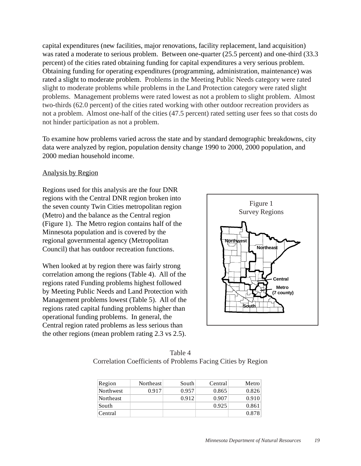capital expenditures (new facilities, major renovations, facility replacement, land acquisition) was rated a moderate to serious problem. Between one-quarter (25.5 percent) and one-third (33.3 percent) of the cities rated obtaining funding for capital expenditures a very serious problem. Obtaining funding for operating expenditures (programming, administration, maintenance) was rated a slight to moderate problem. Problems in the Meeting Public Needs category were rated slight to moderate problems while problems in the Land Protection category were rated slight problems. Management problems were rated lowest as not a problem to slight problem. Almost two-thirds (62.0 percent) of the cities rated working with other outdoor recreation providers as not a problem. Almost one-half of the cities (47.5 percent) rated setting user fees so that costs do not hinder participation as not a problem.

To examine how problems varied across the state and by standard demographic breakdowns, city data were analyzed by region, population density change 1990 to 2000, 2000 population, and 2000 median household income.

#### Analysis by Region

Regions used for this analysis are the four DNR regions with the Central DNR region broken into the seven county Twin Cities metropolitan region (Metro) and the balance as the Central region (Figure 1). The Metro region contains half of the Minnesota population and is covered by the regional governmental agency (Metropolitan Council) that has outdoor recreation functions.

When looked at by region there was fairly strong correlation among the regions (Table 4). All of the regions rated Funding problems highest followed by Meeting Public Needs and Land Protection with Management problems lowest (Table 5). All of the regions rated capital funding problems higher than operational funding problems. In general, the Central region rated problems as less serious than the other regions (mean problem rating 2.3 vs 2.5).



Table 4 Correlation Coefficients of Problems Facing Cities by Region

| Region           | Northeast | South | Central | Metro |
|------------------|-----------|-------|---------|-------|
| Northwest        | 0.917     | 0.957 | 0.865   | 0.826 |
| <b>Northeast</b> |           | 0.912 | 0.907   | 0.910 |
| South            |           |       | 0.925   | 0.861 |
| Central          |           |       |         | 0.878 |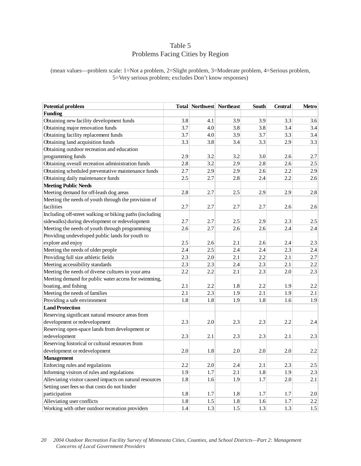## Table 5 Problems Facing Cities by Region

(mean values—problem scale: 1=Not a problem, 2=Slight problem, 3=Moderate problem, 4=Serious problem, 5=Very serious problem; excludes Don't know responses)

| <b>Potential problem</b>                                |     | Total Northwest Northeast |     | South | <b>Central</b> | <b>Metro</b> |
|---------------------------------------------------------|-----|---------------------------|-----|-------|----------------|--------------|
| <b>Funding</b>                                          |     |                           |     |       |                |              |
| Obtaining new facility development funds                | 3.8 | 4.1                       | 3.9 | 3.9   | 3.3            | 3.6          |
| Obtaining major renovation funds                        | 3.7 | 4.0                       | 3.8 | 3.8   | 3.4            | 3.4          |
| Obtaining facility replacement funds                    | 3.7 | 4.0                       | 3.9 | 3.7   | 3.3            | 3.4          |
| Obtaining land acquisition funds                        | 3.3 | 3.8                       | 3.4 | 3.3   | 2.9            | 3.3          |
| Obtaining outdoor recreation and education              |     |                           |     |       |                |              |
| programming funds                                       | 2.9 | 3.2                       | 3.2 | 3.0   | 2.6            | 2.7          |
| Obtaining overall recreation administration funds       | 2.8 | 3.2                       | 2.9 | 2.8   | 2.6            | 2.5          |
| Obtaining scheduled preventative maintenance funds      | 2.7 | 2.9                       | 2.9 | 2.6   | 2.2            | 2.9          |
| Obtaining daily maintenance funds                       | 2.5 | 2.7                       | 2.8 | 2.4   | 2.2            | 2.6          |
| <b>Meeting Public Needs</b>                             |     |                           |     |       |                |              |
| Meeting demand for off-leash dog areas                  | 2.8 | 2.7                       | 2.5 | 2.9   | 2.9            | 2.8          |
| Meeting the needs of youth through the provision of     |     |                           |     |       |                |              |
| facilities                                              | 2.7 | 2.7                       | 2.7 | 2.7   | 2.6            | 2.6          |
| Including off-street walking or biking paths (including |     |                           |     |       |                |              |
| sidewalks) during development or redevelopment          | 2.7 | 2.7                       | 2.5 | 2.9   | 2.3            | 2.5          |
| Meeting the needs of youth through programming          | 2.6 | 2.7                       | 2.6 | 2.6   | 2.4            | 2.4          |
| Providing undeveloped public lands for youth to         |     |                           |     |       |                |              |
| explore and enjoy                                       | 2.5 | 2.6                       | 2.1 | 2.6   | 2.4            | 2.3          |
| Meeting the needs of older people                       | 2.4 | 2.5                       | 2.4 | 2.4   | 2.3            | 2.4          |
| Providing full size athletic fields                     | 2.3 | 2.0                       | 2.1 | 2.2   | 2.1            | 2.7          |
| Meeting accessibility standards                         | 2.3 | 2.3                       | 2.4 | 2.3   | 2.1            | 2.2          |
| Meeting the needs of diverse cultures in your area      | 2.2 | 2.2                       | 2.1 | 2.3   | 2.0            | 2.3          |
| Meeting demand for public water access for swimming,    |     |                           |     |       |                |              |
| boating, and fishing                                    | 2.1 | 2.2                       | 1.8 | 2.2   | 1.9            | 2.2          |
| Meeting the needs of families                           | 2.1 | 2.3                       | 1.9 | 2.1   | 1.9            | 2.1          |
| Providing a safe environment                            | 1.8 | 1.8                       | 1.9 | 1.8   | 1.6            | 1.9          |
| <b>Land Protection</b>                                  |     |                           |     |       |                |              |
| Reserving significant natural resource areas from       |     |                           |     |       |                |              |
| development or redevelopment                            | 2.3 | 2.0                       | 2.3 | 2.3   | 2.2            | 2.4          |
| Reserving open-space lands from development or          |     |                           |     |       |                |              |
| redevelopment                                           | 2.3 | 2.1                       | 2.3 | 2.3   | 2.1            | 2.3          |
| Reserving historical or cultural resources from         |     |                           |     |       |                |              |
| development or redevelopment                            | 2.0 | 1.8                       | 2.0 | 2.0   | 2.0            | 2.2          |
| <b>Management</b>                                       |     |                           |     |       |                |              |
| Enforcing rules and regulations                         | 2.2 | 2.0                       | 2.4 | 2.1   | 2.3            | 2.5          |
| Informing visitors of rules and regulations             | 1.9 | 1.7                       | 2.1 | 1.8   | 1.9            | 2.3          |
| Alleviating visitor caused impacts on natural resources | 1.8 | 1.6                       | 1.9 | 1.7   | 2.0            | 2.1          |
| Setting user fees so that costs do not hinder           |     |                           |     |       |                |              |
| participation                                           | 1.8 | 1.7                       | 1.8 | 1.7   | 1.7            | 2.0          |
| Alleviating user conflicts                              | 1.8 | 1.5                       | 1.8 | 1.6   | $1.7\,$        | 2.2          |
| Working with other outdoor recreation providers         | 1.4 | 1.3                       | 1.5 | 1.3   | 1.3            | 1.5          |

*20 2004 Outdoor Recreation Facility Survey of Minnesota Cities, Counties, and School Districts—Part 2: Management Concerns of Local Government Providers*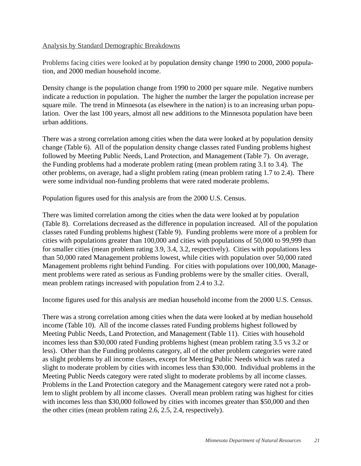## Analysis by Standard Demographic Breakdowns

Problems facing cities were looked at by population density change 1990 to 2000, 2000 population, and 2000 median household income.

Density change is the population change from 1990 to 2000 per square mile. Negative numbers indicate a reduction in population. The higher the number the larger the population increase per square mile. The trend in Minnesota (as elsewhere in the nation) is to an increasing urban population. Over the last 100 years, almost all new additions to the Minnesota population have been urban additions.

There was a strong correlation among cities when the data were looked at by population density change (Table 6). All of the population density change classes rated Funding problems highest followed by Meeting Public Needs, Land Protection, and Management (Table 7). On average, the Funding problems had a moderate problem rating (mean problem rating 3.1 to 3.4). The other problems, on average, had a slight problem rating (mean problem rating 1.7 to 2.4). There were some individual non-funding problems that were rated moderate problems.

Population figures used for this analysis are from the 2000 U.S. Census.

There was limited correlation among the cities when the data were looked at by population (Table 8). Correlations decreased as the difference in population increased. All of the population classes rated Funding problems highest (Table 9). Funding problems were more of a problem for cities with populations greater than 100,000 and cities with populations of 50,000 to 99,999 than for smaller cities (mean problem rating 3.9, 3.4, 3.2, respectively). Cities with populations less than 50,000 rated Management problems lowest, while cities with population over 50,000 rated Management problems right behind Funding. For cities with populations over 100,000, Management problems were rated as serious as Funding problems were by the smaller cities. Overall, mean problem ratings increased with population from 2.4 to 3.2.

Income figures used for this analysis are median household income from the 2000 U.S. Census.

There was a strong correlation among cities when the data were looked at by median household income (Table 10). All of the income classes rated Funding problems highest followed by Meeting Public Needs, Land Protection, and Management (Table 11). Cities with household incomes less than \$30,000 rated Funding problems highest (mean problem rating 3.5 vs 3.2 or less). Other than the Funding problems category, all of the other problem categories were rated as slight problems by all income classes, except for Meeting Public Needs which was rated a slight to moderate problem by cities with incomes less than \$30,000. Individual problems in the Meeting Public Needs category were rated slight to moderate problems by all income classes. Problems in the Land Protection category and the Management category were rated not a problem to slight problem by all income classes. Overall mean problem rating was highest for cities with incomes less than \$30,000 followed by cities with incomes greater than \$50,000 and then the other cities (mean problem rating 2.6, 2.5, 2.4, respectively).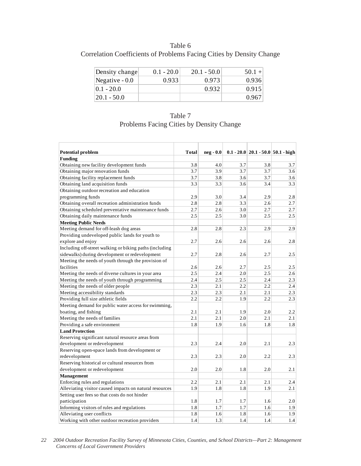Table 6 Correlation Coefficients of Problems Facing Cities by Density Change

| Density change  | $0.1 - 20.0$ | $20.1 - 50.0$ | $50.1 +$ |
|-----------------|--------------|---------------|----------|
| Negative $-0.0$ | 0.933        | 0.973         | 0.936    |
| $ 0.1 - 20.0 $  |              | 0.932         | 0.915    |
| $20.1 - 50.0$   |              |               | 0.967    |

Table 7 Problems Facing Cities by Density Change

| <b>Potential problem</b>                                | Total                   | $neq -0.0$ |     |     | $0.1 - 20.0$ 20.1 - 50.0 50.1 - high |
|---------------------------------------------------------|-------------------------|------------|-----|-----|--------------------------------------|
| <b>Funding</b>                                          |                         |            |     |     |                                      |
| Obtaining new facility development funds                | 3.8                     | 4.0        | 3.7 | 3.8 | 3.7                                  |
| Obtaining major renovation funds                        | 3.7<br>$\overline{3.7}$ | 3.9        | 3.7 | 3.7 | 3.6                                  |
| Obtaining facility replacement funds                    |                         | 3.8        | 3.6 | 3.7 | 3.6                                  |
| Obtaining land acquisition funds                        | 3.3                     | 3.3        | 3.6 | 3.4 | 3.3                                  |
| Obtaining outdoor recreation and education              |                         |            |     |     |                                      |
| programming funds                                       | 2.9                     | 3.0        | 3.4 | 2.9 | 2.8                                  |
| Obtaining overall recreation administration funds       | 2.8                     | 2.8        | 3.3 | 2.6 | 2.7                                  |
| Obtaining scheduled preventative maintenance funds      | 2.7                     | 2.6        | 3.0 | 2.7 | 2.7                                  |
| Obtaining daily maintenance funds                       | 2.5                     | 2.5        | 3.0 | 2.5 | 2.5                                  |
| <b>Meeting Public Needs</b>                             |                         |            |     |     |                                      |
| Meeting demand for off-leash dog areas                  | 2.8                     | 2.8        | 2.3 | 2.9 | 2.9                                  |
| Providing undeveloped public lands for youth to         |                         |            |     |     |                                      |
| explore and enjoy                                       | 2.7                     | 2.6        | 2.6 | 2.6 | 2.8                                  |
| Including off-street walking or biking paths (including |                         |            |     |     |                                      |
| sidewalks) during development or redevelopment          | 2.7                     | 2.8        | 2.6 | 2.7 | 2.5                                  |
| Meeting the needs of youth through the provision of     |                         |            |     |     |                                      |
| facilities                                              | 2.6                     | 2.6        | 2.7 | 2.5 | 2.5                                  |
| Meeting the needs of diverse cultures in your area      | 2.5                     | 2.4        | 2.0 | 2.5 | 2.6                                  |
| Meeting the needs of youth through programming          | 2.4                     | 2.5        | 2.5 | 2.4 | 2.3                                  |
| Meeting the needs of older people                       | 2.3                     | 2.1        | 2.2 | 2.2 | 2.4                                  |
| Meeting accessibility standards                         | 2.3                     | 2.3        | 2.1 | 2.1 | 2.3                                  |
| Providing full size athletic fields                     | 2.2                     | 2.2        | 1.9 | 2.2 | 2.3                                  |
| Meeting demand for public water access for swimming,    |                         |            |     |     |                                      |
| boating, and fishing                                    | 2.1                     | 2.1        | 1.9 | 2.0 | 2.2                                  |
| Meeting the needs of families                           | 2.1                     | 2.1        | 2.0 | 2.1 | 2.1                                  |
| Providing a safe environment                            | 1.8                     | 1.9        | 1.6 | 1.8 | 1.8                                  |
| <b>Land Protection</b>                                  |                         |            |     |     |                                      |
| Reserving significant natural resource areas from       |                         |            |     |     |                                      |
| development or redevelopment                            | 2.3                     | 2.4        | 2.0 | 2.1 | 2.3                                  |
| Reserving open-space lands from development or          |                         |            |     |     |                                      |
| redevelopment                                           | 2.3                     | 2.3        | 2.0 | 2.2 | 2.3                                  |
| Reserving historical or cultural resources from         |                         |            |     |     |                                      |
| development or redevelopment                            | 2.0                     | 2.0        | 1.8 | 2.0 | 2.1                                  |
| Management                                              |                         |            |     |     |                                      |
| Enforcing rules and regulations                         | 2.2                     | 2.1        | 2.1 | 2.1 | 2.4                                  |
| Alleviating visitor caused impacts on natural resources | 1.9                     | 1.8        | 1.8 | 1.9 | 2.1                                  |
| Setting user fees so that costs do not hinder           |                         |            |     |     |                                      |
| participation                                           | 1.8                     | 1.7        | 1.7 | 1.6 | 2.0                                  |
| Informing visitors of rules and regulations             | 1.8                     | 1.7        | 1.7 | 1.6 | 1.9                                  |
| Alleviating user conflicts                              | 1.8                     | 1.6        | 1.8 | 1.6 | 1.9                                  |
| Working with other outdoor recreation providers         | 1.4                     | 1.3        | 1.4 | 1.4 | 1.4                                  |

*22 2004 Outdoor Recreation Facility Survey of Minnesota Cities, Counties, and School Districts—Part 2: Management Concerns of Local Government Providers*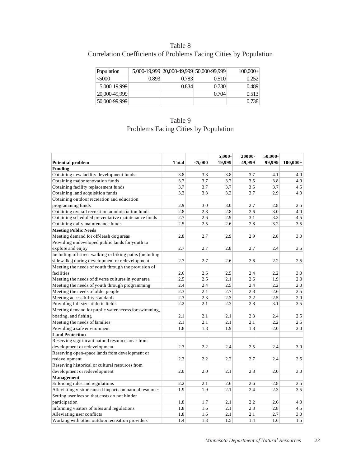# Table 8 Correlation Coefficients of Problems Facing Cities by Population

| Population    |       |       | 5,000-19,999 20,000-49,999 50,000-99,999 | $100,000+$ |
|---------------|-------|-------|------------------------------------------|------------|
| &5000         | 0.893 | 0.783 | 0.510                                    | 0.252      |
| 5,000-19,999  |       | 0.834 | 0.730                                    | 0.489      |
| 20,000-49,999 |       |       | 0.704                                    | 0.513      |
| 50,000-99,999 |       |       |                                          | 0.738      |

| Table 9                                     |
|---------------------------------------------|
| <b>Problems Facing Cities by Population</b> |

| <b>Potential problem</b>                                | <b>Total</b> | < 5,000 | 5,000-<br>19,999 | 20000-<br>49.999 | 50,000-<br>99.999 | $100,000+$ |
|---------------------------------------------------------|--------------|---------|------------------|------------------|-------------------|------------|
| <b>Funding</b>                                          |              |         |                  |                  |                   |            |
| Obtaining new facility development funds                | 3.8          | 3.8     | 3.8              | 3.7              | 4.1               | 4.0        |
| Obtaining major renovation funds                        | 3.7          | 3.7     | 3.7              | 3.5              | 3.8               | 4.0        |
| Obtaining facility replacement funds                    | 3.7          | 3.7     | 3.7              | 3.5              | 3.7               | 4.5        |
| Obtaining land acquisition funds                        | 3.3          | 3.3     | 3.3              | 3.7              | 2.9               | 4.0        |
| Obtaining outdoor recreation and education              |              |         |                  |                  |                   |            |
| programming funds                                       | 2.9          | 3.0     | 3.0              | 2.7              | 2.8               | 2.5        |
| Obtaining overall recreation administration funds       | 2.8          | 2.8     | 2.8              | 2.6              | 3.0               | 4.0        |
| Obtaining scheduled preventative maintenance funds      | 2.7          | 2.6     | 2.9              | 3.1              | 3.3               | 4.5        |
| Obtaining daily maintenance funds                       | 2.5          | 2.5     | 2.6              | 2.8              | 3.2               | 3.5        |
| <b>Meeting Public Needs</b>                             |              |         |                  |                  |                   |            |
| Meeting demand for off-leash dog areas                  | 2.8          | 2.7     | 2.9              | 2.9              | 2.8               | 3.0        |
| Providing undeveloped public lands for youth to         |              |         |                  |                  |                   |            |
| explore and enjoy                                       | 2.7          | 2.7     | 2.8              | 2.7              | 2.4               | 3.5        |
| Including off-street walking or biking paths (including |              |         |                  |                  |                   |            |
| sidewalks) during development or redevelopment          | 2.7          | 2.7     | 2.6              | 2.6              | 2.2               | 2.5        |
| Meeting the needs of youth through the provision of     |              |         |                  |                  |                   |            |
| facilities                                              | 2.6          | 2.6     | 2.5              | 2.4              | 2.2               | 3.0        |
| Meeting the needs of diverse cultures in your area      | 2.5          | 2.5     | 2.1              | 2.6              | 1.9               | 2.0        |
| Meeting the needs of youth through programming          | 2.4          | 2.4     | 2.5              | 2.4              | 2.2               | 2.0        |
| Meeting the needs of older people                       | 2.3          | 2.1     | 2.7              | 2.8              | 2.6               | 3.5        |
| Meeting accessibility standards                         | 2.3          | 2.3     | 2.3              | 2.2              | 2.5               | 2.0        |
| Providing full size athletic fields                     | 2.2          | 2.1     | 2.3              | 2.8              | 3.1               | 3.5        |
| Meeting demand for public water access for swimming,    |              |         |                  |                  |                   |            |
| boating, and fishing                                    | 2.1          | 2.1     | 2.1              | 2.3              | 2.4               | 2.5        |
| Meeting the needs of families                           | 2.1          | 2.1     | 2.1              | 2.1              | 2.2               | 2.5        |
| Providing a safe environment                            | 1.8          | 1.8     | 1.9              | 1.8              | 2.0               | 3.0        |
| <b>Land Protection</b>                                  |              |         |                  |                  |                   |            |
| Reserving significant natural resource areas from       |              |         |                  |                  |                   |            |
| development or redevelopment                            | 2.3          | 2.2     | 2.4              | 2.5              | 2.4               | 3.0        |
| Reserving open-space lands from development or          |              |         |                  |                  |                   |            |
| redevelopment                                           | 2.3          | 2.2     | 2.2              | 2.7              | 2.4               | 2.5        |
| Reserving historical or cultural resources from         |              |         |                  |                  |                   |            |
| development or redevelopment                            | 2.0          | 2.0     | 2.1              | 2.3              | 2.0               | 3.0        |
| Management                                              |              |         |                  |                  |                   |            |
| Enforcing rules and regulations                         | 2.2          | 2.1     | 2.6              | 2.6              | 2.8               | 3.5        |
| Alleviating visitor caused impacts on natural resources | 1.9          | 1.9     | 2.1              | 2.4              | 2.3               | 3.5        |
| Setting user fees so that costs do not hinder           |              |         |                  |                  |                   |            |
| participation                                           | 1.8          | 1.7     | 2.1              | 2.2              | 2.6               | 4.0        |
| Informing visitors of rules and regulations             | 1.8          | 1.6     | 2.1              | 2.3              | 2.8               | 4.5        |
| Alleviating user conflicts                              | 1.8          | 1.6     | 2.1              | 2.1              | 2.7               | 3.0        |
| Working with other outdoor recreation providers         | 1.4          | 1.3     | 1.5              | 1.4              | 1.6               | 1.5        |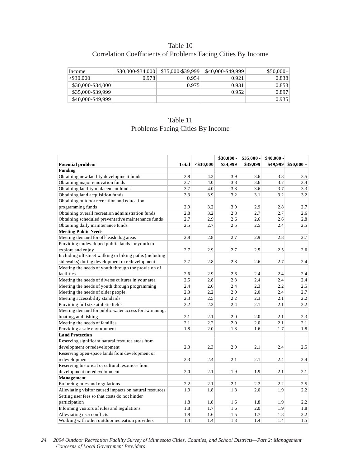## Table 10 Correlation Coefficients of Problems Facing Cities By Income

| Income            | \$30,000-\$34,000 | \$35,000-\$39,999 | \$40,000-\$49,999 | $$50,000+$ |
|-------------------|-------------------|-------------------|-------------------|------------|
| $<$ \$30.000      | 0.978             | 0.954             | 0.921             | 0.838      |
| \$30,000-\$34,000 |                   | 0.975             | 0.931             | 0.853      |
| \$35,000-\$39,999 |                   |                   | 0.952             | 0.897      |
| \$40,000-\$49,999 |                   |                   |                   | 0.935      |

# Table 11 Problems Facing Cities By Income

|                                                         |              |              | $$30,000 -$ | $$35,000 -$ | $$40,000-$ |             |
|---------------------------------------------------------|--------------|--------------|-------------|-------------|------------|-------------|
| <b>Potential problem</b>                                | <b>Total</b> | $<$ \$30,000 | \$34,999    | \$39,999    | \$49,999   | $$50,000 +$ |
| Funding                                                 |              |              |             |             |            |             |
| Obtaining new facility development funds                | 3.8          | 4.2          | 3.9         | 3.6         | 3.8        | 3.5         |
| Obtaining major renovation funds                        | 3.7          | 4.0          | 3.8         | 3.6         | 3.7        | 3.4         |
| Obtaining facility replacement funds                    | 3.7          | 4.0          | 3.8         | 3.6         | 3.7        | 3.3         |
| Obtaining land acquisition funds                        | 3.3          | 3.9          | 3.2         | 3.1         | 3.2        | 3.2         |
| Obtaining outdoor recreation and education              |              |              |             |             |            |             |
| programming funds                                       | 2.9          | 3.2          | 3.0         | 2.9         | 2.8        | 2.7         |
| Obtaining overall recreation administration funds       | 2.8          | 3.2          | 2.8         | 2.7         | 2.7        | 2.6         |
| Obtaining scheduled preventative maintenance funds      | 2.7          | 2.9          | 2.6         | 2.6         | 2.6        | 2.8         |
| Obtaining daily maintenance funds                       | 2.5          | 2.7          | 2.5         | 2.5         | 2.4        | 2.5         |
| <b>Meeting Public Needs</b>                             |              |              |             |             |            |             |
| Meeting demand for off-leash dog areas                  | 2.8          | 2.8          | 2.7         | 2.9         | 2.8        | 2.7         |
| Providing undeveloped public lands for youth to         |              |              |             |             |            |             |
| explore and enjoy                                       | 2.7          | 2.9          | 2.7         | 2.5         | 2.5        | 2.6         |
| Including off-street walking or biking paths (including |              |              |             |             |            |             |
| sidewalks) during development or redevelopment          | 2.7          | 2.8          | 2.8         | 2.6         | 2.7        | 2.4         |
| Meeting the needs of youth through the provision of     |              |              |             |             |            |             |
| facilities                                              | 2.6          | 2.9          | 2.6         | 2.4         | 2.4        | 2.4         |
| Meeting the needs of diverse cultures in your area      | 2.5          | 2.8          | 2.3         | 2.4         | 2.4        | 2.4         |
| Meeting the needs of youth through programming          | 2.4          | 2.6          | 2.4         | 2.3         | 2.2        | $2.5\,$     |
| Meeting the needs of older people                       | 2.3          | 2.2          | 2.0         | 2.0         | 2.4        | 2.7         |
| Meeting accessibility standards                         | 2.3          | 2.5          | 2.2         | $2.3\,$     | 2.1        | $2.2\,$     |
| Providing full size athletic fields                     | 2.2          | 2.3          | 2.4         | 2.1         | 2.1        | 2.2         |
| Meeting demand for public water access for swimming,    |              |              |             |             |            |             |
| boating, and fishing                                    | 2.1          | 2.1          | 2.0         | 2.0         | 2.1        | 2.3         |
| Meeting the needs of families                           | 2.1          | 2.2          | 2.0         | 2.0         | 2.1        | 2.1         |
| Providing a safe environment                            | 1.8          | 2.0          | 1.8         | 1.6         | 1.7        | 1.8         |
| <b>Land Protection</b>                                  |              |              |             |             |            |             |
| Reserving significant natural resource areas from       |              |              |             |             |            |             |
| development or redevelopment                            | 2.3          | 2.3          | 2.0         | 2.1         | 2.4        | 2.5         |
| Reserving open-space lands from development or          |              |              |             |             |            |             |
| redevelopment                                           | 2.3          | 2.4          | 2.1         | 2.1         | 2.4        | 2.4         |
| Reserving historical or cultural resources from         |              |              |             |             |            |             |
| development or redevelopment                            | 2.0          | 2.1          | 1.9         | 1.9         | 2.1        | 2.1         |
| Management                                              |              |              |             |             |            |             |
| Enforcing rules and regulations                         | 2.2          | 2.1          | 2.1         | 2.2         | 2.2        | 2.5         |
| Alleviating visitor caused impacts on natural resources | 1.9          | 1.8          | 1.8         | 2.0         | 1.9        | 2.2         |
| Setting user fees so that costs do not hinder           |              |              |             |             |            |             |
| participation                                           | 1.8          | 1.8          | 1.6         | 1.8         | 1.9        | 2.2         |
| Informing visitors of rules and regulations             | 1.8          | 1.7          | 1.6         | 2.0         | 1.9        | 1.8         |
| Alleviating user conflicts                              | 1.8          | 1.6          | 1.5         | 1.7         | 1.8        | 2.2         |
| Working with other outdoor recreation providers         | 1.4          | 1.4          | 1.3         | 1.4         | 1.4        | 1.5         |

*24 2004 Outdoor Recreation Facility Survey of Minnesota Cities, Counties, and School Districts—Part 2: Management Concerns of Local Government Providers*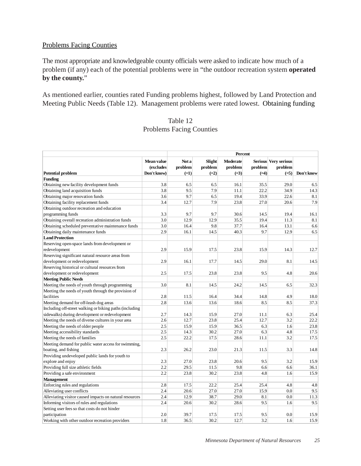#### Problems Facing Counties

The most appropriate and knowledgeable county officials were asked to indicate how much of a problem (if any) each of the potential problems were in "the outdoor recreation system **operated by the county.**"

As mentioned earlier, counties rated Funding problems highest, followed by Land Protection and Meeting Public Needs (Table 12). Management problems were rated lowest. Obtaining funding

## Table 12 Problems Facing Counties

|                                                         |                                        | Percent                    |                                    |                                      |                   |                                           |            |  |
|---------------------------------------------------------|----------------------------------------|----------------------------|------------------------------------|--------------------------------------|-------------------|-------------------------------------------|------------|--|
| <b>Potential problem</b>                                | Mean value<br>(excludes<br>Don't know) | Not a<br>problem<br>$(=1)$ | <b>Slight</b><br>problem<br>$(=2)$ | <b>Moderate</b><br>problem<br>$(=3)$ | problem<br>$(=4)$ | Serious Very serious<br>problem<br>$(=5)$ | Don't know |  |
| <b>Funding</b>                                          |                                        |                            |                                    |                                      |                   |                                           |            |  |
| Obtaining new facility development funds                | 3.8                                    | 6.5                        | 6.5                                | 16.1                                 | 35.5              | 29.0                                      | 6.5        |  |
| Obtaining land acquisition funds                        | 3.8                                    | 9.5                        | 7.9                                | 11.1                                 | 22.2              | 34.9                                      | 14.3       |  |
| Obtaining major renovation funds                        | 3.6                                    | 9.7                        | 6.5                                | 19.4                                 | 33.9              | 22.6                                      | 8.1        |  |
| Obtaining facility replacement funds                    | 3.4                                    | 12.7                       | 7.9                                | 23.8                                 | 27.0              | 20.6                                      | 7.9        |  |
| Obtaining outdoor recreation and education              |                                        |                            |                                    |                                      |                   |                                           |            |  |
| programming funds                                       | 3.3                                    | 9.7                        | 9.7                                | 30.6                                 | 14.5              | 19.4                                      | 16.1       |  |
| Obtaining overall recreation administration funds       | 3.0                                    | 12.9                       | 12.9                               | 35.5                                 | 19.4              | 11.3                                      | 8.1        |  |
| Obtaining scheduled preventative maintenance funds      | 3.0                                    | 16.4                       | 9.8                                | 37.7                                 | 16.4              | 13.1                                      | 6.6        |  |
| Obtaining daily maintenance funds                       | 2.9                                    | 16.1                       | 14.5                               | 40.3                                 | 9.7               | 12.9                                      | 6.5        |  |
| <b>Land Protection</b>                                  |                                        |                            |                                    |                                      |                   |                                           |            |  |
| Reserving open-space lands from development or          |                                        |                            |                                    |                                      |                   |                                           |            |  |
| redevelopment                                           | 2.9                                    | 15.9                       | 17.5                               | 23.8                                 | 15.9              | 14.3                                      | 12.7       |  |
| Reserving significant natural resource areas from       |                                        |                            |                                    |                                      |                   |                                           |            |  |
| development or redevelopment                            | 2.9                                    | 16.1                       | 17.7                               | 14.5                                 | 29.0              | 8.1                                       | 14.5       |  |
| Reserving historical or cultural resources from         |                                        |                            |                                    |                                      |                   |                                           |            |  |
| development or redevelopment                            | 2.5                                    | 17.5                       | 23.8                               | 23.8                                 | 9.5               | 4.8                                       | 20.6       |  |
| <b>Meeting Public Needs</b>                             |                                        |                            |                                    |                                      |                   |                                           |            |  |
| Meeting the needs of youth through programming          | 3.0                                    | 8.1                        | 14.5                               | 24.2                                 | 14.5              | 6.5                                       | 32.3       |  |
| Meeting the needs of youth through the provision of     |                                        |                            |                                    |                                      |                   |                                           |            |  |
| facilities                                              | 2.8                                    | 11.5                       | 16.4                               | 34.4                                 | 14.8              | 4.9                                       | 18.0       |  |
| Meeting demand for off-leash dog areas                  | 2.8                                    | 13.6                       | 13.6                               | 18.6                                 | 8.5               | 8.5                                       | 37.3       |  |
| Including off-street walking or biking paths (including |                                        |                            |                                    |                                      |                   |                                           |            |  |
| sidewalks) during development or redevelopment          | 2.7                                    | 14.3                       | 15.9                               | 27.0                                 | 11.1              | 6.3                                       | 25.4       |  |
| Meeting the needs of diverse cultures in your area      | 2.6                                    | 12.7                       | 23.8                               | 25.4                                 | 12.7              | 3.2                                       | 22.2       |  |
| Meeting the needs of older people                       | 2.5                                    | 15.9                       | 15.9                               | 36.5                                 | 6.3               | 1.6                                       | 23.8       |  |
| Meeting accessibility standards                         | 2.5                                    | 14.3                       | 30.2                               | 27.0                                 | 6.3               | 4.8                                       | 17.5       |  |
| Meeting the needs of families                           | 2.5                                    | 22.2                       | 17.5                               | 28.6                                 | 11.1              | 3.2                                       | 17.5       |  |
| Meeting demand for public water access for swimming,    |                                        |                            |                                    |                                      |                   |                                           |            |  |
| boating, and fishing                                    | 2.3                                    | 26.2                       | 23.0                               | 21.3                                 | 11.5              | 3.3                                       | 14.8       |  |
| Providing undeveloped public lands for youth to         |                                        |                            |                                    |                                      |                   |                                           |            |  |
| explore and enjoy                                       | 2.3                                    | 27.0                       | 23.8                               | 20.6                                 | 9.5               | 3.2                                       | 15.9       |  |
| Providing full size athletic fields                     | 2.2                                    | 29.5                       | 11.5                               | 9.8                                  | 6.6               | 6.6                                       | 36.1       |  |
| Providing a safe environment                            | 2.2                                    | 23.8                       | 30.2                               | 23.8                                 | 4.8               | 1.6                                       | 15.9       |  |
| Management                                              |                                        |                            |                                    |                                      |                   |                                           |            |  |
| Enforcing rules and regulations                         | 2.8                                    | 17.5                       | 22.2                               | 25.4                                 | 25.4              | 4.8                                       | 4.8        |  |
| Alleviating user conflicts                              | 2.4                                    | 20.6                       | 27.0                               | 27.0                                 | 15.9              | 0.0                                       | 9.5        |  |
| Alleviating visitor caused impacts on natural resources | 2.4                                    | 12.9                       | 38.7                               | 29.0                                 | 8.1               | 0.0                                       | 11.3       |  |
| Informing visitors of rules and regulations             | 2.4                                    | 20.6                       | 30.2                               | 28.6                                 | 9.5               | 1.6                                       | 9.5        |  |
| Setting user fees so that costs do not hinder           |                                        |                            |                                    |                                      |                   |                                           |            |  |
| participation                                           | 2.0                                    | 39.7                       | 17.5                               | 17.5                                 | 9.5               | 0.0                                       | 15.9       |  |
| Working with other outdoor recreation providers         | 1.8                                    | 36.5                       | 30.2                               | 12.7                                 | 3.2               | 1.6                                       | 15.9       |  |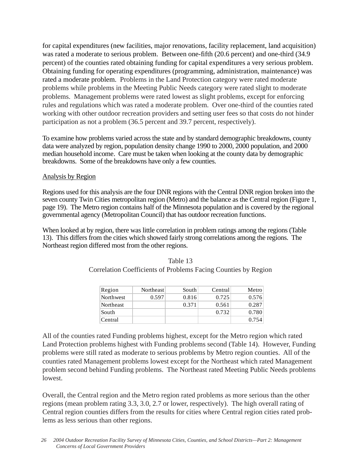for capital expenditures (new facilities, major renovations, facility replacement, land acquisition) was rated a moderate to serious problem. Between one-fifth (20.6 percent) and one-third (34.9 percent) of the counties rated obtaining funding for capital expenditures a very serious problem. Obtaining funding for operating expenditures (programming, administration, maintenance) was rated a moderate problem. Problems in the Land Protection category were rated moderate problems while problems in the Meeting Public Needs category were rated slight to moderate problems. Management problems were rated lowest as slight problems, except for enforcing rules and regulations which was rated a moderate problem. Over one-third of the counties rated working with other outdoor recreation providers and setting user fees so that costs do not hinder participation as not a problem (36.5 percent and 39.7 percent, respectively).

To examine how problems varied across the state and by standard demographic breakdowns, county data were analyzed by region, population density change 1990 to 2000, 2000 population, and 2000 median household income. Care must be taken when looking at the county data by demographic breakdowns. Some of the breakdowns have only a few counties.

#### Analysis by Region

Regions used for this analysis are the four DNR regions with the Central DNR region broken into the seven county Twin Cities metropolitan region (Metro) and the balance as the Central region (Figure 1, page 19). The Metro region contains half of the Minnesota population and is covered by the regional governmental agency (Metropolitan Council) that has outdoor recreation functions.

When looked at by region, there was little correlation in problem ratings among the regions (Table 13). This differs from the cities which showed fairly strong correlations among the regions. The Northeast region differed most from the other regions.

| Region    | Northeast | South | Central | Metro |
|-----------|-----------|-------|---------|-------|
| Northwest | 0.597     | 0.816 | 0.725   | 0.576 |
| Northeast |           | 0.371 | 0.561   | 0.287 |
| South     |           |       | 0.732   | 0.780 |
| Central   |           |       |         | 0.754 |

| Table 13                                                       |
|----------------------------------------------------------------|
| Correlation Coefficients of Problems Facing Counties by Region |

All of the counties rated Funding problems highest, except for the Metro region which rated Land Protection problems highest with Funding problems second (Table 14). However, Funding problems were still rated as moderate to serious problems by Metro region counties. All of the counties rated Management problems lowest except for the Northeast which rated Management problem second behind Funding problems. The Northeast rated Meeting Public Needs problems lowest.

Overall, the Central region and the Metro region rated problems as more serious than the other regions (mean problem rating 3.3, 3.0, 2.7 or lower, respectively). The high overall rating of Central region counties differs from the results for cities where Central region cities rated problems as less serious than other regions.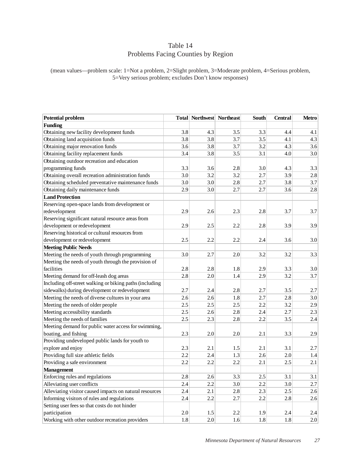## Table 14 Problems Facing Counties by Region

(mean values—problem scale: 1=Not a problem, 2=Slight problem, 3=Moderate problem, 4=Serious problem, 5=Very serious problem; excludes Don't know responses)

| <b>Potential problem</b>                                |         | Total Northwest Northeast |     | South | <b>Central</b> | Metro   |
|---------------------------------------------------------|---------|---------------------------|-----|-------|----------------|---------|
| <b>Funding</b>                                          |         |                           |     |       |                |         |
| Obtaining new facility development funds                | 3.8     | 4.3                       | 3.5 | 3.3   | 4.4            | 4.1     |
| Obtaining land acquisition funds                        | 3.8     | 3.8                       | 3.7 | 3.5   | 4.1            | 4.3     |
| Obtaining major renovation funds                        | 3.6     | 3.8                       | 3.7 | 3.2   | 4.3            | 3.6     |
| Obtaining facility replacement funds                    | 3.4     | 3.8                       | 3.5 | 3.1   | 4.0            | 3.0     |
| Obtaining outdoor recreation and education              |         |                           |     |       |                |         |
| programming funds                                       | 3.3     | 3.6                       | 2.8 | 3.0   | 4.3            | 3.3     |
| Obtaining overall recreation administration funds       | 3.0     | 3.2                       | 3.2 | 2.7   | 3.9            | 2.8     |
| Obtaining scheduled preventative maintenance funds      | 3.0     | 3.0                       | 2.8 | 2.7   | 3.8            | 3.7     |
| Obtaining daily maintenance funds                       | 2.9     | 3.0                       | 2.7 | 2.7   | 3.6            | 2.8     |
| <b>Land Protection</b>                                  |         |                           |     |       |                |         |
| Reserving open-space lands from development or          |         |                           |     |       |                |         |
| redevelopment                                           | 2.9     | 2.6                       | 2.3 | 2.8   | 3.7            | 3.7     |
| Reserving significant natural resource areas from       |         |                           |     |       |                |         |
| development or redevelopment                            | 2.9     | 2.5                       | 2.2 | 2.8   | 3.9            | 3.9     |
| Reserving historical or cultural resources from         |         |                           |     |       |                |         |
| development or redevelopment                            | 2.5     | 2.2                       | 2.2 | 2.4   | 3.6            | 3.0     |
| <b>Meeting Public Needs</b>                             |         |                           |     |       |                |         |
| Meeting the needs of youth through programming          | 3.0     | 2.7                       | 2.0 | 3.2   | 3.2            | 3.3     |
| Meeting the needs of youth through the provision of     |         |                           |     |       |                |         |
| facilities                                              | 2.8     | 2.8                       | 1.8 | 2.9   | 3.3            | 3.0     |
| Meeting demand for off-leash dog areas                  | 2.8     | 2.0                       | 1.4 | 2.9   | 3.2            | 3.7     |
| Including off-street walking or biking paths (including |         |                           |     |       |                |         |
| sidewalks) during development or redevelopment          | 2.7     | 2.4                       | 2.8 | 2.7   | 3.5            | 2.7     |
| Meeting the needs of diverse cultures in your area      | 2.6     | 2.6                       | 1.8 | 2.7   | 2.8            | 3.0     |
| Meeting the needs of older people                       | 2.5     | 2.5                       | 2.5 | 2.2   | 3.2            | 2.9     |
| Meeting accessibility standards                         | 2.5     | 2.6                       | 2.8 | 2.4   | 2.7            | 2.3     |
| Meeting the needs of families                           | 2.5     | 2.3                       | 2.8 | 2.2   | 3.5            | 2.4     |
| Meeting demand for public water access for swimming,    |         |                           |     |       |                |         |
| boating, and fishing                                    | 2.3     | 2.0                       | 2.0 | 2.1   | 3.3            | 2.9     |
| Providing undeveloped public lands for youth to         |         |                           |     |       |                |         |
| explore and enjoy                                       | 2.3     | 2.1                       | 1.5 | 2.1   | 3.1            | 2.7     |
| Providing full size athletic fields                     | 2.2     | 2.4                       | 1.3 | 2.6   | 2.0            | 1.4     |
| Providing a safe environment                            | 2.2     | 2.2                       | 2.2 | 2.1   | 2.5            | 2.1     |
| <b>Management</b>                                       |         |                           |     |       |                |         |
| Enforcing rules and regulations                         | $2.8$   | 2.6                       | 3.3 | 2.5   | 3.1            | 3.1     |
| Alleviating user conflicts                              | 2.4     | 2.2                       | 3.0 | 2.2   | 3.0            | 2.7     |
| Alleviating visitor caused impacts on natural resources | 2.4     | 2.1                       | 2.8 | 2.3   | 2.5            | 2.6     |
| Informing visitors of rules and regulations             | 2.4     | 2.2                       | 2.7 | 2.2   | 2.8            | 2.6     |
| Setting user fees so that costs do not hinder           |         |                           |     |       |                |         |
| participation                                           | $2.0\,$ | $1.5\,$                   | 2.2 | 1.9   | 2.4            | $2.4\,$ |
| Working with other outdoor recreation providers         | 1.8     | 2.0                       | 1.6 | 1.8   | 1.8            | 2.0     |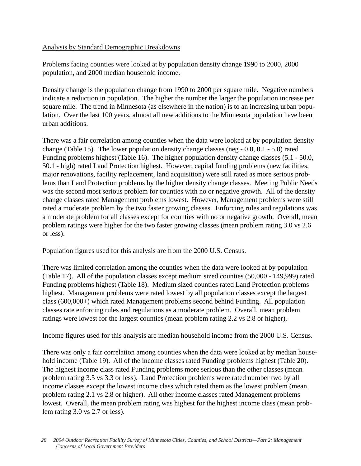## Analysis by Standard Demographic Breakdowns

Problems facing counties were looked at by population density change 1990 to 2000, 2000 population, and 2000 median household income.

Density change is the population change from 1990 to 2000 per square mile. Negative numbers indicate a reduction in population. The higher the number the larger the population increase per square mile. The trend in Minnesota (as elsewhere in the nation) is to an increasing urban population. Over the last 100 years, almost all new additions to the Minnesota population have been urban additions.

There was a fair correlation among counties when the data were looked at by population density change (Table 15). The lower population density change classes (neg - 0.0, 0.1 - 5.0) rated Funding problems highest (Table 16). The higher population density change classes (5.1 - 50.0, 50.1 - high) rated Land Protection highest. However, capital funding problems (new facilities, major renovations, facility replacement, land acquisition) were still rated as more serious problems than Land Protection problems by the higher density change classes. Meeting Public Needs was the second most serious problem for counties with no or negative growth. All of the density change classes rated Management problems lowest. However, Management problems were still rated a moderate problem by the two faster growing classes. Enforcing rules and regulations was a moderate problem for all classes except for counties with no or negative growth. Overall, mean problem ratings were higher for the two faster growing classes (mean problem rating 3.0 vs 2.6 or less).

Population figures used for this analysis are from the 2000 U.S. Census.

There was limited correlation among the counties when the data were looked at by population (Table 17). All of the population classes except medium sized counties (50,000 - 149,999) rated Funding problems highest (Table 18). Medium sized counties rated Land Protection problems highest. Management problems were rated lowest by all population classes except the largest class (600,000+) which rated Management problems second behind Funding. All population classes rate enforcing rules and regulations as a moderate problem. Overall, mean problem ratings were lowest for the largest counties (mean problem rating 2.2 vs 2.8 or higher).

Income figures used for this analysis are median household income from the 2000 U.S. Census.

There was only a fair correlation among counties when the data were looked at by median household income (Table 19). All of the income classes rated Funding problems highest (Table 20). The highest income class rated Funding problems more serious than the other classes (mean problem rating 3.5 vs 3.3 or less). Land Protection problems were rated number two by all income classes except the lowest income class which rated them as the lowest problem (mean problem rating 2.1 vs 2.8 or higher). All other income classes rated Management problems lowest. Overall, the mean problem rating was highest for the highest income class (mean problem rating 3.0 vs 2.7 or less).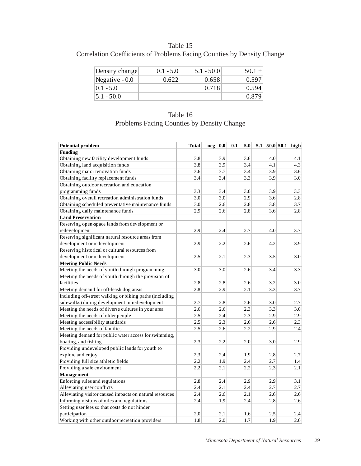Table 15 Correlation Coefficients of Problems Facing Counties by Density Change

| Density change  | $0.1 - 5.0$ | $5.1 - 50.0$ | $50.1 +$ |
|-----------------|-------------|--------------|----------|
| Negative $-0.0$ | 0.622       | 0.658        | 0.597    |
| $0.1 - 5.0$     |             | 0.718        | 0.594    |
| $5.1 - 50.0$    |             |              | 0.879    |

| Table 16                                   |
|--------------------------------------------|
| Problems Facing Counties by Density Change |

| <b>Potential problem</b>                                | <b>Total</b> | neg - 0.0 | $0.1 - 5.0$ |     | $5.1 - 50.0$ 50.1 - high |
|---------------------------------------------------------|--------------|-----------|-------------|-----|--------------------------|
| <b>Funding</b>                                          |              |           |             |     |                          |
| Obtaining new facility development funds                | 3.8          | 3.9       | 3.6         | 4.0 | 4.1                      |
| Obtaining land acquisition funds                        | 3.8          | 3.9       | 3.4         | 4.1 | 4.3                      |
| Obtaining major renovation funds                        | 3.6          | 3.7       | 3.4         | 3.9 | 3.6                      |
| Obtaining facility replacement funds                    | 3.4          | 3.4       | 3.3         | 3.9 | 3.0                      |
| Obtaining outdoor recreation and education              |              |           |             |     |                          |
| programming funds                                       | 3.3          | 3.4       | 3.0         | 3.9 | 3.3                      |
| Obtaining overall recreation administration funds       | 3.0          | 3.0       | 2.9         | 3.6 | 2.8                      |
| Obtaining scheduled preventative maintenance funds      | 3.0          | 2.6       | 2.8         | 3.8 | 3.7                      |
| Obtaining daily maintenance funds                       | 2.9          | 2.6       | 2.8         | 3.6 | 2.8                      |
| <b>Land Preservation</b>                                |              |           |             |     |                          |
| Reserving open-space lands from development or          |              |           |             |     |                          |
| redevelopment                                           | 2.9          | 2.4       | 2.7         | 4.0 | 3.7                      |
| Reserving significant natural resource areas from       |              |           |             |     |                          |
| development or redevelopment                            | 2.9          | 2.2       | 2.6         | 4.2 | 3.9                      |
| Reserving historical or cultural resources from         |              |           |             |     |                          |
| development or redevelopment                            | 2.5          | 2.1       | 2.3         | 3.5 | 3.0                      |
| <b>Meeting Public Needs</b>                             |              |           |             |     |                          |
| Meeting the needs of youth through programming          | 3.0          | 3.0       | 2.6         | 3.4 | 3.3                      |
| Meeting the needs of youth through the provision of     |              |           |             |     |                          |
| facilities                                              | 2.8          | 2.8       | 2.6         | 3.2 | 3.0                      |
| Meeting demand for off-leash dog areas                  | 2.8          | 2.9       | 2.1         | 3.3 | 3.7                      |
| Including off-street walking or biking paths (including |              |           |             |     |                          |
| sidewalks) during development or redevelopment          | 2.7          | 2.8       | 2.6         | 3.0 | 2.7                      |
| Meeting the needs of diverse cultures in your area      | 2.6          | 2.6       | 2.3         | 3.3 | 3.0                      |
| Meeting the needs of older people                       | 2.5          | 2.4       | 2.3         | 2.9 | 2.9                      |
| Meeting accessibility standards                         | 2.5          | 2.3       | 2.6         | 2.6 | 2.3                      |
| Meeting the needs of families                           | 2.5          | 2.6       | 2.2         | 2.9 | 2.4                      |
| Meeting demand for public water access for swimming,    |              |           |             |     |                          |
| boating, and fishing                                    | 2.3          | 2.2       | 2.0         | 3.0 | 2.9                      |
| Providing undeveloped public lands for youth to         |              |           |             |     |                          |
| explore and enjoy                                       | 2.3          | 2.4       | 1.9         | 2.8 | 2.7                      |
| Providing full size athletic fields                     | 2.2          | 1.9       | 2.4         | 2.7 | 1.4                      |
| Providing a safe environment                            | 2.2          | 2.1       | 2.2         | 2.3 | 2.1                      |
| <b>Management</b>                                       |              |           |             |     |                          |
| Enforcing rules and regulations                         | 2.8          | 2.4       | 2.9         | 2.9 | 3.1                      |
| Alleviating user conflicts                              | 2.4          | 2.1       | 2.4         | 2.7 | 2.7                      |
| Alleviating visitor caused impacts on natural resources | 2.4          | 2.6       | 2.1         | 2.6 | 2.6                      |
| Informing visitors of rules and regulations             | 2.4          | 1.9       | 2.4         | 2.8 | 2.6                      |
| Setting user fees so that costs do not hinder           |              |           |             |     |                          |
| participation                                           | 2.0          | 2.1       | 1.6         | 2.5 | 2.4                      |
| Working with other outdoor recreation providers         | 1.8          | 2.0       | 1.7         | 1.9 | 2.0                      |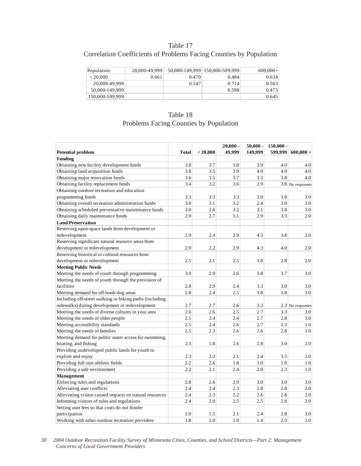## Table 17 Correlation Coefficients of Problems Facing Counties by Population

| Population      | 20,000-49,999 |       | 50,000-149,999 150,000-599,999 | $600,000+$ |
|-----------------|---------------|-------|--------------------------------|------------|
| < 20.000        | 0.661         | 0.470 | 0.484                          | 0.634      |
| 20,000-49,999   |               | 0.547 | 0.714                          | 0.563      |
| 50,000-149,999  |               |       | 0.598                          | 0.473      |
| 150,000-599,999 |               |       |                                | 0.645      |

## Table 18 Problems Facing Counties by Population

| <b>Potential problem</b>                                | <b>Total</b> | < 20,000 | $20,000 -$<br>49.999 | $50,000 -$<br>149,999 | $150,000 -$<br>599.999 | $600,000 +$        |
|---------------------------------------------------------|--------------|----------|----------------------|-----------------------|------------------------|--------------------|
| <b>Funding</b>                                          |              |          |                      |                       |                        |                    |
| Obtaining new facility development funds                | 3.8          | 3.7      | 3.8                  | 3.9                   | 4.0                    | 4.0                |
| Obtaining land acquisition funds                        | 3.8          | 3.5      | 3.9                  | 4.0                   | 4.0                    | 4.0                |
| Obtaining major renovation funds                        | 3.6          | 3.5      | 3.7                  | 3.3                   | 3.8                    | 4.0                |
| Obtaining facility replacement funds                    | 3.4          | 3.2      | 3.6                  | 2.9                   |                        | $3.8$ No responses |
| Obtaining outdoor recreation and education              |              |          |                      |                       |                        |                    |
| programming funds                                       | 3.3          | 3.3      | 3.3                  | 3.0                   | 3.8                    | 3.0                |
| Obtaining overall recreation administration funds       | 3.0          | 3.1      | 3.2                  | 2.4                   | 3.0                    | 3.0                |
| Obtaining scheduled preventative maintenance funds      | 3.0          | 2.6      | 3.2                  | 3.1                   | 3.8                    | 3.0                |
| Obtaining daily maintenance funds                       | 2.9          | 2.7      | 3.1                  | 2.9                   | 3.3                    | 2.0                |
| <b>Land Preservation</b>                                |              |          |                      |                       |                        |                    |
| Reserving open-space lands from development or          |              |          |                      |                       |                        |                    |
| redevelopment                                           | 2.9          | 2.4      | 2.9                  | 4.3                   | 3.8                    | 2.0                |
| Reserving significant natural resource areas from       |              |          |                      |                       |                        |                    |
| development or redevelopment                            | 2.9          | 2.2      | 2.9                  | 4.3                   | 4.0                    | 2.0                |
| Reserving historical or cultural resources from         |              |          |                      |                       |                        |                    |
| development or redevelopment                            | 2.5          | 2.1      | 2.5                  | 3.8                   | 2.8                    | 2.0                |
| <b>Meeting Public Needs</b>                             |              |          |                      |                       |                        |                    |
| Meeting the needs of youth through programming          | 3.0          | 2.9      | 2.6                  | 3.8                   | 3.7                    | 3.0                |
| Meeting the needs of youth through the provision of     |              |          |                      |                       |                        |                    |
| facilities                                              | 2.8          | 2.9      | 2.4                  | 3.3                   | 3.0                    | 3.0                |
| Meeting demand for off-leash dog areas                  | 2.8          | 2.4      | 2.5                  | 3.8                   | 3.8                    | 3.0                |
| Including off-street walking or biking paths (including |              |          |                      |                       |                        |                    |
| sidewalks) during development or redevelopment          | 2.7          | 2.7      | 2.6                  | 3.3                   |                        | $2.3$ No responses |
| Meeting the needs of diverse cultures in your area      | 2.6          | 2.6      | 2.5                  | 2.7                   | 3.3                    | 3.0                |
| Meeting the needs of older people                       | 2.5          | 2.4      | 2.4                  | 2.7                   | 2.8                    | 3.0                |
| Meeting accessibility standards                         | 2.5          | 2.4      | 2.6                  | 2.7                   | 2.3                    | 1.0                |
| Meeting the needs of families                           | 2.5          | 2.3      | 2.6                  | 2.6                   | 2.8                    | 1.0                |
| Meeting demand for public water access for swimming,    |              |          |                      |                       |                        |                    |
| boating, and fishing                                    | 2.3          | 1.8      | 2.6                  | 2.8                   | 3.0                    | 2.0                |
| Providing undeveloped public lands for youth to         |              |          |                      |                       |                        |                    |
| explore and enjoy                                       | 2.3          | 2.2      | 2.1                  | 2.4                   | 3.5                    | 1.0                |
| Providing full size athletic fields                     | 2.2          | 2.6      | 1.8                  | 3.0                   | 1.0                    | 1.0                |
| Providing a safe environment                            | 2.2          | 2.1      | 2.4                  | 2.0                   | 2.3                    | 1.0                |
| <b>Management</b>                                       |              |          |                      |                       |                        |                    |
| Enforcing rules and regulations                         | 2.8          | 2.6      | 2.9                  | 3.0                   | 3.0                    | 3.0                |
| Alleviating user conflicts                              | 2.4          | 2.4      | 2.3                  | 2.8                   | 2.8                    | 2.0                |
| Alleviating visitor caused impacts on natural resources | 2.4          | 2.3      | 2.2                  | 2.6                   | 2.8                    | 2.0                |
| Informing visitors of rules and regulations             | 2.4          | 2.0      | 2.5                  | 2.5                   | 2.8                    | 2.0                |
| Setting user fees so that costs do not hinder           |              |          |                      |                       |                        |                    |
| participation                                           | 2.0          | 1.5      | 2.1                  | 2.4                   | 2.8                    | 3.0                |
| Working with other outdoor recreation providers         | 1.8          | 2.0      | 1.9                  | 1.4                   | 2.3                    | 1.0                |

*30 2004 Outdoor Recreation Facility Survey of Minnesota Cities, Counties, and School Districts—Part 2: Management Concerns of Local Government Providers*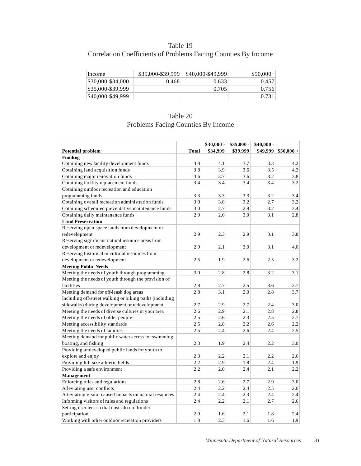## Table 19 Correlation Coefficients of Problems Facing Counties By Income

| Income            | \$35,000-\$39,999 | \$40,000-\$49,999 | $$50,000+$ |
|-------------------|-------------------|-------------------|------------|
| \$30,000-\$34,000 | 0.468             | 0.633             | 0.457      |
| \$35,000-\$39,999 |                   | 0.705             | 0.756      |
| \$40,000-\$49,999 |                   |                   | 0.731      |

# Table 20 Problems Facing Counties By Income

|                                                         |              | \$30,000 - | \$35,000 - | $$40,000$ - |             |
|---------------------------------------------------------|--------------|------------|------------|-------------|-------------|
| <b>Potential problem</b>                                | <b>Total</b> | \$34,999   | \$39,999   | \$49,999    | $$50,000 +$ |
| Funding                                                 |              |            |            |             |             |
| Obtaining new facility development funds                | 3.8          | 4.1        | 3.7        | 3.3         | 4.2         |
| Obtaining land acquisition funds                        | 3.8          | 3.9        | 3.6        | 3.5         | 4.2         |
| Obtaining major renovation funds                        | 3.6          | 3.7        | 3.6        | 3.2         | 3.8         |
| Obtaining facility replacement funds                    | 3.4          | 3.4        | 3.4        | 3.4         | 3.2         |
| Obtaining outdoor recreation and education              |              |            |            |             |             |
| programming funds                                       | 3.3          | 3.3        | 3.3        | 3.2         | 3.4         |
| Obtaining overall recreation administration funds       | 3.0          | 3.0        | 3.2        | 2.7         | 3.2         |
| Obtaining scheduled preventative maintenance funds      | 3.0          | 2.7        | 2.9        | 3.2         | 3.4         |
| Obtaining daily maintenance funds                       | 2.9          | 2.6        | 3.0        | 3.1         | 2.8         |
| <b>Land Preservation</b>                                |              |            |            |             |             |
| Reserving open-space lands from development or          |              |            |            |             |             |
| redevelopment                                           | 2.9          | 2.3        | 2.9        | 3.1         | 3.8         |
| Reserving significant natural resource areas from       |              |            |            |             |             |
| development or redevelopment                            | 2.9          | 2.1        | 3.0        | 3.1         | 4.0         |
| Reserving historical or cultural resources from         |              |            |            |             |             |
| development or redevelopment                            | 2.5          | 1.9        | 2.6        | 2.5         | 3.2         |
| <b>Meeting Public Needs</b>                             |              |            |            |             |             |
| Meeting the needs of youth through programming          | 3.0          | 2.8        | 2.8        | 3.2         | 3.1         |
| Meeting the needs of youth through the provision of     |              |            |            |             |             |
| facilities                                              | 2.8          | 2.7        | 2.5        | 3.6         | 2.7         |
| Meeting demand for off-leash dog areas                  | 2.8          | 3.1        | 2.0        | 2.8         | 3.7         |
| Including off-street walking or biking paths (including |              |            |            |             |             |
| sidewalks) during development or redevelopment          | 2.7          | 2.9        | 2.7        | 2.4         | 3.0         |
| Meeting the needs of diverse cultures in your area      | 2.6          | 2.9        | 2.1        | 2.8         | 2.8         |
| Meeting the needs of older people                       | 2.5          | 2.6        | 2.3        | 2.5         | 2.7         |
| Meeting accessibility standards                         | 2.5          | 2.8        | 2.2        | 2.6         | 2.2         |
| Meeting the needs of families                           | 2.5          | 2.4        | 2.6        | 2.4         | 2.5         |
| Meeting demand for public water access for swimming,    |              |            |            |             |             |
| boating, and fishing                                    | 2.3          | 1.9        | 2.4        | 2.2         | 3.0         |
| Providing undeveloped public lands for youth to         |              |            |            |             |             |
| explore and enjoy                                       | 2.3          | 2.2        | 2.1        | 2.2         | 2.6         |
| Providing full size athletic fields                     | 2.2          | 2.9        | 1.8        | 2.4         | 1.9         |
| Providing a safe environment                            | 2.2          | 2.0        | 2.4        | 2.1         | 2.2         |
| <b>Management</b>                                       |              |            |            |             |             |
| Enforcing rules and regulations                         | 2.8          | 2.6        | 2.7        | 2.9         | 3.0         |
| Alleviating user conflicts                              | 2.4          | 2.2        | 2.4        | 2.5         | 2.6         |
| Alleviating visitor caused impacts on natural resources | 2.4          | 2.4        | 2.3        | 2.4         | 2.4         |
| Informing visitors of rules and regulations             | 2.4          | 2.2        | 2.1        | 2.7         | 2.6         |
| Setting user fees so that costs do not hinder           |              |            |            |             |             |
| participation                                           | 2.0          | 1.6        | 2.1        | 1.8         | 2.4         |
| Working with other outdoor recreation providers         | 1.8          | 2.3        | 1.6        | 1.6         | 1.9         |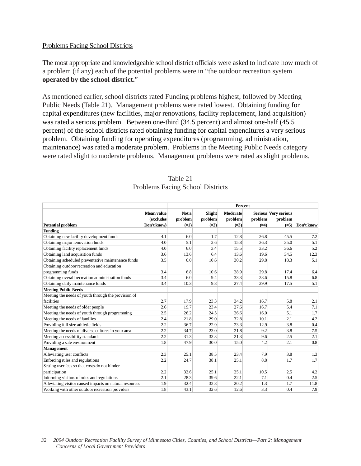#### Problems Facing School Districts

The most appropriate and knowledgeable school district officials were asked to indicate how much of a problem (if any) each of the potential problems were in "the outdoor recreation system **operated by the school district.**"

As mentioned earlier, school districts rated Funding problems highest, followed by Meeting Public Needs (Table 21). Management problems were rated lowest. Obtaining funding for capital expenditures (new facilities, major renovations, facility replacement, land acquisition) was rated a serious problem. Between one-third (34.5 percent) and almost one-half (45.5 percent) of the school districts rated obtaining funding for capital expenditures a very serious problem. Obtaining funding for operating expenditures (programming, administration, maintenance) was rated a moderate problem. Problems in the Meeting Public Needs category were rated slight to moderate problems. Management problems were rated as slight problems.

|                                                         |                  | Percent |         |                 |         |                      |            |
|---------------------------------------------------------|------------------|---------|---------|-----------------|---------|----------------------|------------|
|                                                         | Mean value       | Not a   | Slight  | <b>Moderate</b> |         | Serious Very serious |            |
|                                                         | <i>(excludes</i> | problem | problem | problem         | problem | problem              |            |
| <b>Potential problem</b>                                | Don't know)      | $(=1)$  | $(=2)$  | $(=3)$          | $(=4)$  | $(=5)$               | Don't know |
| <b>Funding</b>                                          |                  |         |         |                 |         |                      |            |
| Obtaining new facility development funds                | 4.1              | 6.0     | 1.7     | 12.8            | 26.8    | 45.5                 | 7.2        |
| Obtaining major renovation funds                        | 4.0              | 5.1     | 2.6     | 15.8            | 36.3    | 35.0                 | 5.1        |
| Obtaining facility replacement funds                    | 4.0              | 6.0     | 3.4     | 15.5            | 33.2    | 36.6                 | 5.2        |
| Obtaining land acquisition funds                        | 3.6              | 13.6    | 6.4     | 13.6            | 19.6    | 34.5                 | 12.3       |
| Obtaining scheduled preventative maintenance funds      | 3.5              | 6.0     | 10.6    | 30.2            | 29.8    | 18.3                 | 5.1        |
| Obtaining outdoor recreation and education              |                  |         |         |                 |         |                      |            |
| programming funds                                       | 3.4              | 6.8     | 10.6    | 28.9            | 29.8    | 17.4                 | 6.4        |
| Obtaining overall recreation administration funds       | 3.4              | 6.0     | 9.4     | 33.3            | 28.6    | 15.8                 | 6.8        |
| Obtaining daily maintenance funds                       | 3.4              | 10.3    | 9.8     | 27.4            | 29.9    | 17.5                 | 5.1        |
| <b>Meeting Public Needs</b>                             |                  |         |         |                 |         |                      |            |
| Meeting the needs of youth through the provision of     |                  |         |         |                 |         |                      |            |
| facilities                                              | 2.7              | 17.9    | 23.3    | 34.2            | 16.7    | 5.8                  | 2.1        |
| Meeting the needs of older people                       | 2.6              | 19.7    | 23.4    | 27.6            | 16.7    | 5.4                  | 7.1        |
| Meeting the needs of youth through programming          | 2.5              | 26.2    | 24.5    | 26.6            | 16.0    | 5.1                  | 1.7        |
| Meeting the needs of families                           | 2.4              | 21.8    | 29.0    | 32.8            | 10.1    | 2.1                  | 4.2        |
| Providing full size athletic fields                     | 2.2              | 36.7    | 22.9    | 23.3            | 12.9    | 3.8                  | 0.4        |
| Meeting the needs of diverse cultures in your area      | 2.2              | 34.7    | 23.0    | 21.8            | 9.2     | 3.8                  | 7.5        |
| Meeting accessibility standards                         | 2.2              | 31.3    | 33.3    | 21.3            | 9.6     | 2.5                  | 2.1        |
| Providing a safe environment                            | 1.8              | 47.9    | 30.0    | 15.0            | 4.2     | 2.1                  | 0.8        |
| Management                                              |                  |         |         |                 |         |                      |            |
| Alleviating user conflicts                              | 2.3              | 25.1    | 38.5    | 23.4            | 7.9     | 3.8                  | 1.3        |
| Enforcing rules and regulations                         | 2.2              | 24.7    | 38.1    | 25.1            | 8.8     | 1.7                  | 1.7        |
| Setting user fees so that costs do not hinder           |                  |         |         |                 |         |                      |            |
| participation                                           | 2.2              | 32.6    | 25.1    | 25.1            | 10.5    | 2.5                  | 4.2        |
| Informing visitors of rules and regulations             | 2.1              | 28.3    | 39.6    | 22.1            | 7.1     | 0.4                  | 2.5        |
| Alleviating visitor caused impacts on natural resources | 1.9              | 32.4    | 32.8    | 20.2            | 1.3     | 1.7                  | 11.8       |
| Working with other outdoor recreation providers         | 1.8              | 43.1    | 32.6    | 12.6            | 3.3     | 0.4                  | 7.9        |

### Table 21 Problems Facing School Districts

#### *32 2004 Outdoor Recreation Facility Survey of Minnesota Cities, Counties, and School Districts—Part 2: Management Concerns of Local Government Providers*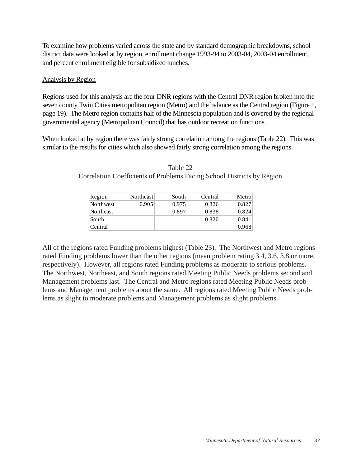To examine how problems varied across the state and by standard demographic breakdowns, school district data were looked at by region, enrollment change 1993-94 to 2003-04, 2003-04 enrollment, and percent enrollment eligible for subsidized lunches.

## Analysis by Region

Regions used for this analysis are the four DNR regions with the Central DNR region broken into the seven county Twin Cities metropolitan region (Metro) and the balance as the Central region (Figure 1, page 19). The Metro region contains half of the Minnesota population and is covered by the regional governmental agency (Metropolitan Council) that has outdoor recreation functions.

When looked at by region there was fairly strong correlation among the regions (Table 22). This was similar to the results for cities which also showed fairly strong correlation among the regions.

| Region    | Northeast | South | Central | Metro |
|-----------|-----------|-------|---------|-------|
| Northwest | 0.905     | 0.975 | 0.826   | 0.827 |
| Northeast |           | 0.897 | 0.838   | 0.824 |
| South     |           |       | 0.820   | 0.841 |
| Central   |           |       |         | 0.968 |

Table 22 Correlation Coefficients of Problems Facing School Districts by Region

All of the regions rated Funding problems highest (Table 23). The Northwest and Metro regions rated Funding problems lower than the other regions (mean problem rating 3.4, 3.6, 3.8 or more, respectively). However, all regions rated Funding problems as moderate to serious problems. The Northwest, Northeast, and South regions rated Meeting Public Needs problems second and Management problems last. The Central and Metro regions rated Meeting Public Needs problems and Management problems about the same. All regions rated Meeting Public Needs problems as slight to moderate problems and Management problems as slight problems.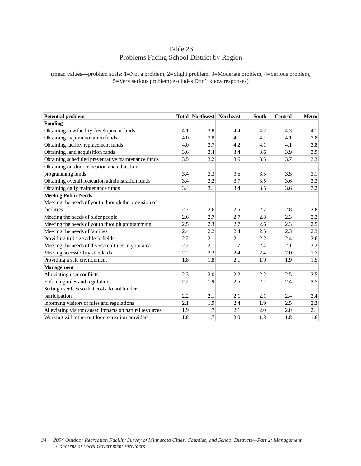# Table 23 Problems Facing School District by Region

(mean values—problem scale: 1=Not a problem, 2=Slight problem, 3=Moderate problem, 4=Serious problem, 5=Very serious problem; excludes Don't know responses)

| <b>Potential problem</b>                                |     | <b>Total Northwest Northeast</b> |     | <b>South</b> | <b>Central</b> | <b>Metro</b> |
|---------------------------------------------------------|-----|----------------------------------|-----|--------------|----------------|--------------|
| <b>Funding</b>                                          |     |                                  |     |              |                |              |
| Obtaining new facility development funds                | 4.1 | 3.8                              | 4.4 | 4.2          | 4.3            | 4.1          |
| Obtaining major renovation funds                        | 4.0 | 3.8                              | 4.1 | 4.1          | 4.1            | 3.8          |
| Obtaining facility replacement funds                    | 4.0 | 3.7                              | 4.2 | 4.1          | 4.1            | 3.8          |
| Obtaining land acquisition funds                        | 3.6 | 3.4                              | 3.4 | 3.6          | 3.9            | 3.9          |
| Obtaining scheduled preventative maintenance funds      | 3.5 | 3.2                              | 3.6 | 3.5          | 3.7            | 3.3          |
| Obtaining outdoor recreation and education              |     |                                  |     |              |                |              |
| programming funds                                       | 3.4 | 3.3                              | 3.6 | 3.5          | 3.5            | 3.1          |
| Obtaining overall recreation administration funds       | 3.4 | 3.2                              | 3.7 | 3.5          | 3.6            | 3.3          |
| Obtaining daily maintenance funds                       | 3.4 | 3.1                              | 3.4 | 3.5          | 3.6            | 3.2          |
| <b>Meeting Public Needs</b>                             |     |                                  |     |              |                |              |
| Meeting the needs of youth through the provision of     |     |                                  |     |              |                |              |
| facilities                                              | 2.7 | 2.6                              | 2.5 | 2.7          | 2.8            | 2.8          |
| Meeting the needs of older people                       | 2.6 | 2.7                              | 2.7 | 2.8          | 2.3            | 2.2          |
| Meeting the needs of youth through programming          | 2.5 | 2.3                              | 2.7 | 2.6          | 2.3            | 2.5          |
| Meeting the needs of families                           | 2.4 | 2.2                              | 2.4 | 2.5          | 2.3            | 2.3          |
| Providing full size athletic fields                     | 2.2 | 2.1                              | 2.1 | 2.2          | 2.4            | 2.6          |
| Meeting the needs of diverse cultures in your area      | 2.2 | 2.1                              | 1.7 | 2.4          | 2.1            | $2.2\,$      |
| Meeting accessibility standards                         | 2.2 | 2.2                              | 2.4 | 2.4          | 2.0            | 1.7          |
| Providing a safe environment                            | 1.8 | 1.8                              | 2.1 | 1.9          | 1.9            | 1.5          |
| <b>Management</b>                                       |     |                                  |     |              |                |              |
| Alleviating user conflicts                              | 2.3 | 2.0                              | 2.2 | 2.2          | 2.5            | 2.5          |
| Enforcing rules and regulations                         | 2.2 | 1.9                              | 2.5 | 2.1          | 2.4            | 2.5          |
| Setting user fees so that costs do not hinder           |     |                                  |     |              |                |              |
| participation                                           | 2.2 | 2.1                              | 2.1 | 2.1          | 2.4            | 2.4          |
| Informing visitors of rules and regulations             | 2.1 | 1.9                              | 2.4 | 1.9          | 2.5            | 2.3          |
| Alleviating visitor caused impacts on natural resources | 1.9 | 1.7                              | 2.1 | 2.0          | 2.0            | 2.1          |
| Working with other outdoor recreation providers         | 1.8 | 1.7                              | 2.0 | 1.8          | 1.8            | 1.6          |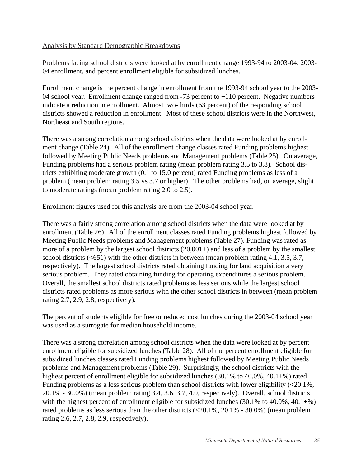## Analysis by Standard Demographic Breakdowns

Problems facing school districts were looked at by enrollment change 1993-94 to 2003-04, 2003- 04 enrollment, and percent enrollment eligible for subsidized lunches.

Enrollment change is the percent change in enrollment from the 1993-94 school year to the 2003- 04 school year. Enrollment change ranged from -73 percent to +110 percent. Negative numbers indicate a reduction in enrollment. Almost two-thirds (63 percent) of the responding school districts showed a reduction in enrollment. Most of these school districts were in the Northwest, Northeast and South regions.

There was a strong correlation among school districts when the data were looked at by enrollment change (Table 24). All of the enrollment change classes rated Funding problems highest followed by Meeting Public Needs problems and Management problems (Table 25). On average, Funding problems had a serious problem rating (mean problem rating 3.5 to 3.8). School districts exhibiting moderate growth (0.1 to 15.0 percent) rated Funding problems as less of a problem (mean problem rating 3.5 vs 3.7 or higher). The other problems had, on average, slight to moderate ratings (mean problem rating 2.0 to 2.5).

Enrollment figures used for this analysis are from the 2003-04 school year.

There was a fairly strong correlation among school districts when the data were looked at by enrollment (Table 26). All of the enrollment classes rated Funding problems highest followed by Meeting Public Needs problems and Management problems (Table 27). Funding was rated as more of a problem by the largest school districts (20,001+) and less of a problem by the smallest school districts (<651) with the other districts in between (mean problem rating 4.1, 3.5, 3.7, respectively). The largest school districts rated obtaining funding for land acquisition a very serious problem. They rated obtaining funding for operating expenditures a serious problem. Overall, the smallest school districts rated problems as less serious while the largest school districts rated problems as more serious with the other school districts in between (mean problem rating 2.7, 2.9, 2.8, respectively).

The percent of students eligible for free or reduced cost lunches during the 2003-04 school year was used as a surrogate for median household income.

There was a strong correlation among school districts when the data were looked at by percent enrollment eligible for subsidized lunches (Table 28). All of the percent enrollment eligible for subsidized lunches classes rated Funding problems highest followed by Meeting Public Needs problems and Management problems (Table 29). Surprisingly, the school districts with the highest percent of enrollment eligible for subsidized lunches (30.1% to 40.0%, 40.1+%) rated Funding problems as a less serious problem than school districts with lower eligibility (<20.1%, 20.1% - 30.0%) (mean problem rating 3.4, 3.6, 3.7, 4.0, respectively). Overall, school districts with the highest percent of enrollment eligible for subsidized lunches (30.1% to 40.0%, 40.1+%) rated problems as less serious than the other districts (<20.1%, 20.1% - 30.0%) (mean problem rating 2.6, 2.7, 2.8, 2.9, respectively).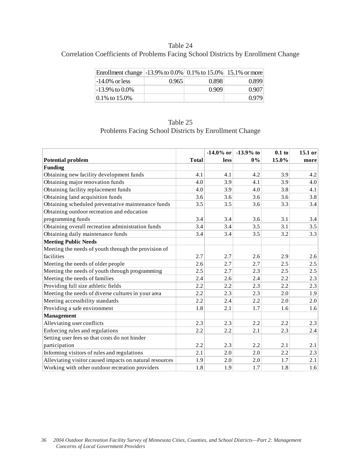## Table 24 Correlation Coefficients of Problems Facing School Districts by Enrollment Change

| Enrollment change   -13.9% to 0.0%   0.1% to 15.0%   15.1% or more |       |       |       |
|--------------------------------------------------------------------|-------|-------|-------|
| $-14.0\%$ or less                                                  | 0.965 | 0.898 | 0.899 |
| $-13.9\%$ to $0.0\%$                                               |       | 0.909 | 0.907 |
| $ 0.1\%$ to 15.0%                                                  |       |       | 0.979 |

| Table 25                                              |
|-------------------------------------------------------|
| Problems Facing School Districts by Enrollment Change |

|                                                         |              | $-14.0\%$ or | $-13.9\%$ to | $0.1$ to | 15.1 or |
|---------------------------------------------------------|--------------|--------------|--------------|----------|---------|
| <b>Potential problem</b>                                | <b>Total</b> | less         | $0\%$        | 15.0%    | more    |
| <b>Funding</b>                                          |              |              |              |          |         |
| Obtaining new facility development funds                | 4.1          | 4.1          | 4.2          | 3.9      | 4.2     |
| Obtaining major renovation funds                        | 4.0          | 3.9          | 4.1          | 3.9      | 4.0     |
| Obtaining facility replacement funds                    | 4.0          | 3.9          | 4.0          | 3.8      | 4.1     |
| Obtaining land acquisition funds                        | 3.6          | 3.6          | 3.6          | 3.6      | 3.8     |
| Obtaining scheduled preventative maintenance funds      | 3.5          | 3.5          | 3.6          | 3.3      | 3.4     |
| Obtaining outdoor recreation and education              |              |              |              |          |         |
| programming funds                                       | 3.4          | 3.4          | 3.6          | 3.1      | 3.4     |
| Obtaining overall recreation administration funds       | 3.4          | 3.4          | 3.5          | 3.1      | 3.5     |
| Obtaining daily maintenance funds                       | 3.4          | 3.4          | 3.5          | 3.2      | 3.3     |
| <b>Meeting Public Needs</b>                             |              |              |              |          |         |
| Meeting the needs of youth through the provision of     |              |              |              |          |         |
| facilities                                              | 2.7          | 2.7          | 2.6          | 2.9      | 2.6     |
| Meeting the needs of older people                       | 2.6          | 2.7          | 2.7          | 2.5      | 2.5     |
| Meeting the needs of youth through programming          | 2.5          | 2.7          | 2.3          | 2.5      | 2.5     |
| Meeting the needs of families                           | 2.4          | 2.6          | 2.4          | 2.2      | 2.3     |
| Providing full size athletic fields                     | 2.2          | 2.2          | 2.3          | 2.2      | 2.3     |
| Meeting the needs of diverse cultures in your area      | 2.2          | 2.3          | 2.3          | 2.0      | 1.9     |
| Meeting accessibility standards                         | 2.2          | 2.4          | 2.2          | 2.0      | 2.0     |
| Providing a safe environment                            | 1.8          | 2.1          | 1.7          | 1.6      | 1.6     |
| <b>Management</b>                                       |              |              |              |          |         |
| Alleviating user conflicts                              | 2.3          | 2.3          | 2.2          | 2.2      | 2.3     |
| Enforcing rules and regulations                         | 2.2          | 2.2          | 2.1          | 2.3      | 2.4     |
| Setting user fees so that costs do not hinder           |              |              |              |          |         |
| participation                                           | 2.2          | 2.3          | 2.2          | 2.1      | 2.1     |
| Informing visitors of rules and regulations             | 2.1          | 2.0          | 2.0          | 2.2      | 2.3     |
| Alleviating visitor caused impacts on natural resources | 1.9          | 2.0          | 2.0          | 1.7      | 2.1     |
| Working with other outdoor recreation providers         | 1.8          | 1.9          | 1.7          | 1.8      | 1.6     |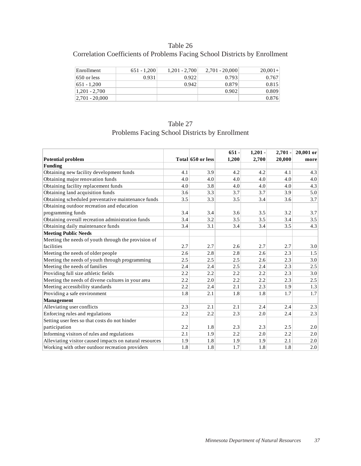# Table 26

# Correlation Coefficients of Problems Facing School Districts by Enrollment

| Enrollment         | $651 - 1,200$ | $1,201 - 2,700$ | $2.701 - 20.000$ | $20,001+$ |
|--------------------|---------------|-----------------|------------------|-----------|
| $650$ or less      | 0.931         | 0.922           | 0.793            | 0.767     |
| 651 - 1,200        |               | 0.942           | 0.879            | 0.815     |
| $1,201 - 2,700$    |               |                 | 0.902            | 0.809     |
| $ 2,701 - 20,000 $ |               |                 |                  | 0.876     |

| Table 27                                       |
|------------------------------------------------|
| Problems Facing School Districts by Enrollment |

|                                                         |     |                   | $651 -$ | $1,201 -$ | $2,701 -$ | 20,001 or |
|---------------------------------------------------------|-----|-------------------|---------|-----------|-----------|-----------|
| <b>Potential problem</b>                                |     | Total 650 or less | 1,200   | 2,700     | 20,000    | more      |
| <b>Funding</b>                                          |     |                   |         |           |           |           |
| Obtaining new facility development funds                | 4.1 | 3.9               | 4.2     | 4.2       | 4.1       | 4.3       |
| Obtaining major renovation funds                        | 4.0 | 4.0               | 4.0     | 4.0       | 4.0       | 4.0       |
| Obtaining facility replacement funds                    | 4.0 | 3.8               | 4.0     | 4.0       | 4.0       | 4.3       |
| Obtaining land acquisition funds                        | 3.6 | 3.3               | 3.7     | 3.7       | 3.9       | 5.0       |
| Obtaining scheduled preventative maintenance funds      | 3.5 | 3.3               | 3.5     | 3.4       | 3.6       | 3.7       |
| Obtaining outdoor recreation and education              |     |                   |         |           |           |           |
| programming funds                                       | 3.4 | 3.4               | 3.6     | 3.5       | 3.2       | 3.7       |
| Obtaining overall recreation administration funds       | 3.4 | 3.2               | 3.5     | 3.5       | 3.4       | 3.5       |
| Obtaining daily maintenance funds                       | 3.4 | 3.1               | 3.4     | 3.4       | 3.5       | 4.3       |
| <b>Meeting Public Needs</b>                             |     |                   |         |           |           |           |
| Meeting the needs of youth through the provision of     |     |                   |         |           |           |           |
| facilities                                              | 2.7 | 2.7               | 2.6     | 2.7       | 2.7       | 3.0       |
| Meeting the needs of older people                       | 2.6 | 2.8               | 2.8     | 2.6       | 2.3       | 1.5       |
| Meeting the needs of youth through programming          | 2.5 | 2.5               | 2.5     | 2.6       | 2.3       | 3.0       |
| Meeting the needs of families                           | 2.4 | 2.4               | 2.5     | 2.4       | 2.3       | 2.5       |
| Providing full size athletic fields                     | 2.2 | 2.2               | 2.2     | 2.2       | 2.3       | 3.0       |
| Meeting the needs of diverse cultures in your area      | 2.2 | 2.0               | 2.2     | 2.2       | 2.3       | 2.5       |
| Meeting accessibility standards                         | 2.2 | 2.4               | 2.1     | 2.3       | 1.9       | 1.3       |
| Providing a safe environment                            | 1.8 | 2.1               | 1.8     | 1.8       | 1.7       | 1.7       |
| Management                                              |     |                   |         |           |           |           |
| Alleviating user conflicts                              | 2.3 | 2.1               | 2.1     | 2.4       | 2.4       | 2.3       |
| Enforcing rules and regulations                         | 2.2 | 2.2               | 2.3     | 2.0       | 2.4       | 2.3       |
| Setting user fees so that costs do not hinder           |     |                   |         |           |           |           |
| participation                                           | 2.2 | 1.8               | 2.3     | 2.3       | 2.5       | 2.0       |
| Informing visitors of rules and regulations             | 2.1 | 1.9               | 2.2     | 2.0       | 2.2       | 2.0       |
| Alleviating visitor caused impacts on natural resources | 1.9 | 1.8               | 1.9     | 1.9       | 2.1       | 2.0       |
| Working with other outdoor recreation providers         | 1.8 | 1.8               | 1.7     | 1.8       | 1.8       | 2.0       |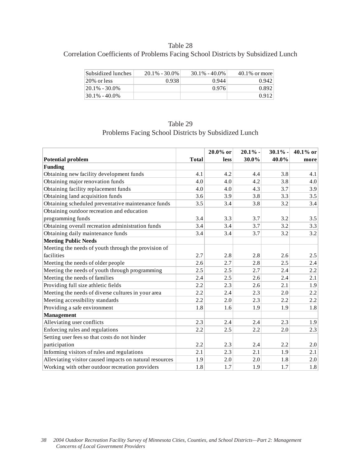## Table 28

# Correlation Coefficients of Problems Facing School Districts by Subsidized Lunch

| Subsidized lunches | $20.1\% - 30.0\%$ | $30.1\% - 40.0\%$ | $40.1\%$ or more |
|--------------------|-------------------|-------------------|------------------|
| 20% or less        | 0.938             | 0.944             | 0.942            |
| $ 20.1\% - 30.0\%$ |                   | 0.976             | 0.892            |
| $130.1\% - 40.0\%$ |                   |                   | 0.912            |

| Table 29                                             |
|------------------------------------------------------|
| Problems Facing School Districts by Subsidized Lunch |

|                                                         |              | $20.0\%$ or | 20.1% | $30.1\%$ - | 40.1% or |
|---------------------------------------------------------|--------------|-------------|-------|------------|----------|
| <b>Potential problem</b>                                | <b>Total</b> | less        | 30.0% | 40.0%      | more     |
| <b>Funding</b>                                          |              |             |       |            |          |
| Obtaining new facility development funds                | 4.1          | 4.2         | 4.4   | 3.8        | 4.1      |
| Obtaining major renovation funds                        | 4.0          | 4.0         | 4.2   | 3.8        | 4.0      |
| Obtaining facility replacement funds                    | 4.0          | 4.0         | 4.3   | 3.7        | 3.9      |
| Obtaining land acquisition funds                        | 3.6          | 3.9         | 3.8   | 3.3        | 3.5      |
| Obtaining scheduled preventative maintenance funds      | 3.5          | 3.4         | 3.8   | 3.2        | 3.4      |
| Obtaining outdoor recreation and education              |              |             |       |            |          |
| programming funds                                       | 3.4          | 3.3         | 3.7   | 3.2        | 3.5      |
| Obtaining overall recreation administration funds       | 3.4          | 3.4         | 3.7   | 3.2        | 3.3      |
| Obtaining daily maintenance funds                       | 3.4          | 3.4         | 3.7   | 3.2        | 3.2      |
| <b>Meeting Public Needs</b>                             |              |             |       |            |          |
| Meeting the needs of youth through the provision of     |              |             |       |            |          |
| facilities                                              | 2.7          | 2.8         | 2.8   | 2.6        | 2.5      |
| Meeting the needs of older people                       | 2.6          | 2.7         | 2.8   | 2.5        | 2.4      |
| Meeting the needs of youth through programming          | 2.5          | 2.5         | 2.7   | 2.4        | 2.2      |
| Meeting the needs of families                           | 2.4          | 2.5         | 2.6   | 2.4        | 2.1      |
| Providing full size athletic fields                     | 2.2          | 2.3         | 2.6   | 2.1        | 1.9      |
| Meeting the needs of diverse cultures in your area      | 2.2          | 2.4         | 2.3   | 2.0        | 2.2      |
| Meeting accessibility standards                         | 2.2          | 2.0         | 2.3   | 2.2        | 2.2      |
| Providing a safe environment                            | 1.8          | 1.6         | 1.9   | 1.9        | 1.8      |
| <b>Management</b>                                       |              |             |       |            |          |
| Alleviating user conflicts                              | 2.3          | 2.4         | 2.4   | 2.3        | 1.9      |
| Enforcing rules and regulations                         | 2.2          | 2.5         | 2.2   | 2.0        | 2.3      |
| Setting user fees so that costs do not hinder           |              |             |       |            |          |
| participation                                           | 2.2          | 2.3         | 2.4   | 2.2        | 2.0      |
| Informing visitors of rules and regulations             | 2.1          | 2.3         | 2.1   | 1.9        | 2.1      |
| Alleviating visitor caused impacts on natural resources | 1.9          | 2.0         | 2.0   | 1.8        | 2.0      |
| Working with other outdoor recreation providers         | 1.8          | 1.7         | 1.9   | 1.7        | 1.8      |